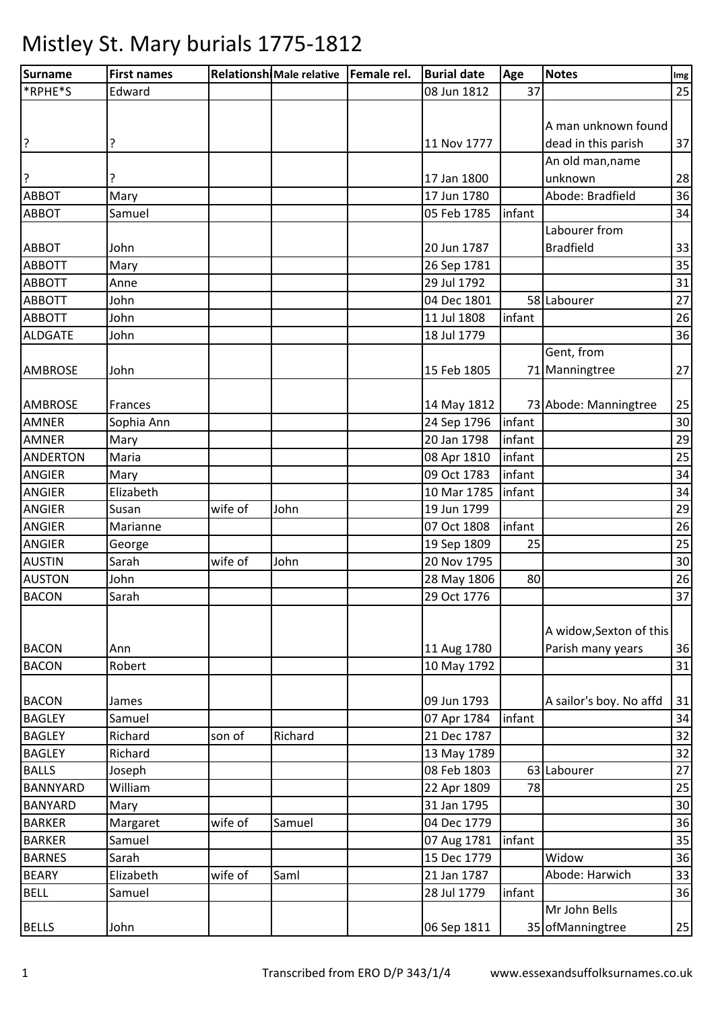| Surname         | <b>First names</b> |         | Relationshi Male relative   Female rel. | <b>Burial date</b> | Age    | <b>Notes</b>            | Im <sub>g</sub> |
|-----------------|--------------------|---------|-----------------------------------------|--------------------|--------|-------------------------|-----------------|
| *RPHE*S         | Edward             |         |                                         | 08 Jun 1812        | 37     |                         | 25              |
|                 |                    |         |                                         |                    |        |                         |                 |
|                 |                    |         |                                         |                    |        | A man unknown found     |                 |
| ?               | ?                  |         |                                         | 11 Nov 1777        |        | dead in this parish     | 37              |
|                 |                    |         |                                         |                    |        | An old man, name        |                 |
| ?               |                    |         |                                         | 17 Jan 1800        |        | unknown                 | 28              |
| <b>ABBOT</b>    | Mary               |         |                                         | 17 Jun 1780        |        | Abode: Bradfield        | 36              |
| <b>ABBOT</b>    | Samuel             |         |                                         | 05 Feb 1785        | infant |                         | 34              |
|                 |                    |         |                                         |                    |        | Labourer from           |                 |
| <b>ABBOT</b>    | John               |         |                                         | 20 Jun 1787        |        | <b>Bradfield</b>        | 33              |
| <b>ABBOTT</b>   | Mary               |         |                                         | 26 Sep 1781        |        |                         | 35              |
| <b>ABBOTT</b>   | Anne               |         |                                         | 29 Jul 1792        |        |                         | 31              |
| <b>ABBOTT</b>   | John               |         |                                         | 04 Dec 1801        |        | 58 Labourer             | 27              |
| <b>ABBOTT</b>   | John               |         |                                         | 11 Jul 1808        | infant |                         | 26              |
| <b>ALDGATE</b>  | John               |         |                                         | 18 Jul 1779        |        |                         | 36              |
|                 |                    |         |                                         |                    |        | Gent, from              |                 |
| <b>AMBROSE</b>  | John               |         |                                         | 15 Feb 1805        |        | 71 Manningtree          | 27              |
|                 |                    |         |                                         |                    |        |                         |                 |
| <b>AMBROSE</b>  | Frances            |         |                                         | 14 May 1812        |        | 73 Abode: Manningtree   | 25              |
| <b>AMNER</b>    | Sophia Ann         |         |                                         | 24 Sep 1796        | infant |                         | 30              |
| <b>AMNER</b>    | Mary               |         |                                         | 20 Jan 1798        | infant |                         | 29              |
| <b>ANDERTON</b> | Maria              |         |                                         | 08 Apr 1810        | infant |                         | 25              |
| <b>ANGIER</b>   | Mary               |         |                                         | 09 Oct 1783        | infant |                         | 34              |
| <b>ANGIER</b>   | Elizabeth          |         |                                         | 10 Mar 1785        | infant |                         | 34              |
| <b>ANGIER</b>   | Susan              | wife of | John                                    | 19 Jun 1799        |        |                         | 29              |
| <b>ANGIER</b>   | Marianne           |         |                                         | 07 Oct 1808        | infant |                         | 26              |
| <b>ANGIER</b>   | George             |         |                                         | 19 Sep 1809        | 25     |                         | 25              |
| <b>AUSTIN</b>   | Sarah              | wife of | John                                    | 20 Nov 1795        |        |                         | 30              |
| <b>AUSTON</b>   | John               |         |                                         | 28 May 1806        | 80     |                         | 26              |
| <b>BACON</b>    | Sarah              |         |                                         | 29 Oct 1776        |        |                         | 37              |
|                 |                    |         |                                         |                    |        |                         |                 |
|                 |                    |         |                                         |                    |        | A widow, Sexton of this |                 |
| <b>BACON</b>    | Ann                |         |                                         | 11 Aug 1780        |        | Parish many years       | 36              |
| <b>BACON</b>    | Robert             |         |                                         | 10 May 1792        |        |                         | 31              |
|                 |                    |         |                                         |                    |        |                         |                 |
| <b>BACON</b>    | James              |         |                                         | 09 Jun 1793        |        | A sailor's boy. No affd | 31              |
| <b>BAGLEY</b>   | Samuel             |         |                                         | 07 Apr 1784        | infant |                         | 34              |
| <b>BAGLEY</b>   | Richard            | son of  | Richard                                 | 21 Dec 1787        |        |                         | 32              |
| <b>BAGLEY</b>   | Richard            |         |                                         | 13 May 1789        |        |                         | 32              |
| <b>BALLS</b>    | Joseph             |         |                                         | 08 Feb 1803        |        | 63 Labourer             | 27              |
| <b>BANNYARD</b> | William            |         |                                         | 22 Apr 1809        | 78     |                         | 25              |
| <b>BANYARD</b>  | Mary               |         |                                         | 31 Jan 1795        |        |                         | 30              |
| <b>BARKER</b>   | Margaret           | wife of | Samuel                                  | 04 Dec 1779        |        |                         | 36              |
| <b>BARKER</b>   | Samuel             |         |                                         | 07 Aug 1781        | infant |                         | 35              |
| <b>BARNES</b>   | Sarah              |         |                                         | 15 Dec 1779        |        | Widow                   | 36              |
| <b>BEARY</b>    | Elizabeth          | wife of | Saml                                    | 21 Jan 1787        |        | Abode: Harwich          | 33              |
| <b>BELL</b>     | Samuel             |         |                                         | 28 Jul 1779        | infant |                         | 36              |
|                 |                    |         |                                         |                    |        | Mr John Bells           |                 |
| <b>BELLS</b>    | John               |         |                                         | 06 Sep 1811        |        | 35 of Manningtree       | 25              |
|                 |                    |         |                                         |                    |        |                         |                 |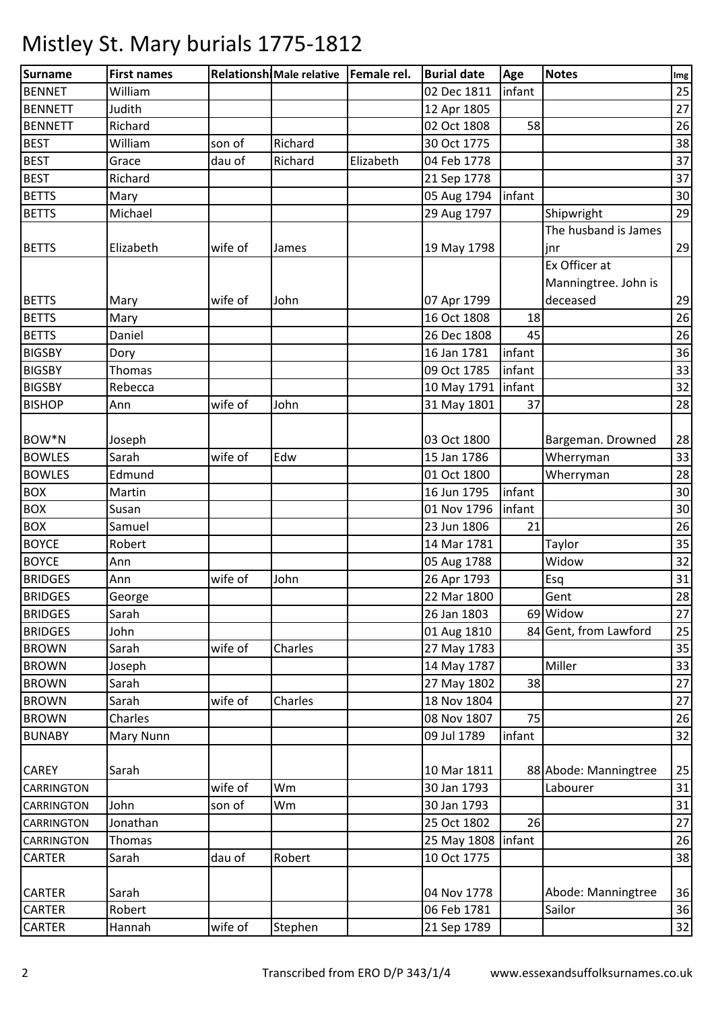| infant<br>25<br><b>BENNET</b><br>William<br>02 Dec 1811<br>27<br>Judith<br>12 Apr 1805<br><b>BENNETT</b><br>26<br>Richard<br>02 Oct 1808<br>58<br><b>BEST</b><br>38<br>William<br>Richard<br>30 Oct 1775<br>son of<br><b>BEST</b><br>dau of<br>Richard<br>37<br>Elizabeth<br>04 Feb 1778<br>Grace<br><b>BEST</b><br>37<br>Richard<br>21 Sep 1778<br><b>BETTS</b><br>30<br>05 Aug 1794<br>infant<br>Mary<br><b>BETTS</b><br>Shipwright<br>29<br>Michael<br>29 Aug 1797<br>The husband is James<br>29<br>Elizabeth<br>wife of<br>19 May 1798<br>jnr<br>James<br>Ex Officer at<br>Manningtree. John is<br>deceased<br>29<br><b>BETTS</b><br>wife of<br>07 Apr 1799<br>John<br>Mary<br>26<br><b>BETTS</b><br>16 Oct 1808<br>18<br>Mary<br><b>BETTS</b><br>26 Dec 1808<br>45<br>26<br>Daniel<br>36<br><b>BIGSBY</b><br>16 Jan 1781<br>infant<br>Dory<br><b>BIGSBY</b><br>infant<br>33<br>Thomas<br>09 Oct 1785<br>32<br><b>BIGSBY</b><br>10 May 1791<br>infant<br>Rebecca<br><b>BISHOP</b><br>wife of<br>John<br>28<br>31 May 1801<br>37<br>Ann<br>03 Oct 1800<br>28<br>Joseph<br>Bargeman. Drowned<br><b>BOWLES</b><br>Edw<br>33<br>Sarah<br>wife of<br>15 Jan 1786<br>Wherryman<br>28<br><b>BOWLES</b><br>Edmund<br>Wherryman<br>01 Oct 1800<br><b>BOX</b><br>16 Jun 1795<br>infant<br>30<br>Martin<br><b>BOX</b><br>01 Nov 1796<br>30<br>infant<br>Susan<br><b>BOX</b><br>26<br>Samuel<br>23 Jun 1806<br>21<br>35<br><b>BOYCE</b><br>Robert<br>14 Mar 1781<br>Taylor<br>Widow<br><b>BOYCE</b><br>05 Aug 1788<br>32<br>Ann<br>wife of<br>John<br>26 Apr 1793<br>Esq<br>31<br>Ann<br>28<br>22 Mar 1800<br>Gent<br>George<br>69 Widow<br>Sarah<br>26 Jan 1803<br>27<br>84 Gent, from Lawford<br>01 Aug 1810<br>25<br><b>BRIDGES</b><br>John<br>35<br><b>BROWN</b><br>Sarah<br>wife of<br>Charles<br>27 May 1783<br>Miller<br><b>BROWN</b><br>33<br>Joseph<br>14 May 1787<br><b>BROWN</b><br>27 May 1802<br>38<br>27<br>Sarah<br><b>BROWN</b><br>wife of<br>27<br>Sarah<br>Charles<br>18 Nov 1804<br><b>BROWN</b><br>Charles<br>08 Nov 1807<br>75<br>26<br><b>BUNABY</b><br>09 Jul 1789<br>32<br>Mary Nunn<br>infant<br>Sarah<br>88 Abode: Manningtree<br>25<br><b>CAREY</b><br>10 Mar 1811<br>30 Jan 1793<br>wife of<br>Wm<br>31<br>Labourer<br>CARRINGTON<br>John<br>Wm<br>30 Jan 1793<br>31<br><b>CARRINGTON</b><br>son of<br>Jonathan<br>25 Oct 1802<br>26<br>27<br><b>CARRINGTON</b><br>infant<br>26<br>Thomas<br>25 May 1808<br>CARRINGTON<br>10 Oct 1775<br>38<br>CARTER<br>Sarah<br>dau of<br>Robert<br>CARTER<br>04 Nov 1778<br>Abode: Manningtree<br>Sarah<br>06 Feb 1781<br>Sailor<br><b>CARTER</b><br>Robert<br>wife of<br>Stephen<br>21 Sep 1789<br>CARTER<br>Hannah | <b>Surname</b>     | <b>First names</b> | Relationshi Male relative   Female rel. | <b>Burial date</b> | Age | <b>Notes</b> | Img |
|-----------------------------------------------------------------------------------------------------------------------------------------------------------------------------------------------------------------------------------------------------------------------------------------------------------------------------------------------------------------------------------------------------------------------------------------------------------------------------------------------------------------------------------------------------------------------------------------------------------------------------------------------------------------------------------------------------------------------------------------------------------------------------------------------------------------------------------------------------------------------------------------------------------------------------------------------------------------------------------------------------------------------------------------------------------------------------------------------------------------------------------------------------------------------------------------------------------------------------------------------------------------------------------------------------------------------------------------------------------------------------------------------------------------------------------------------------------------------------------------------------------------------------------------------------------------------------------------------------------------------------------------------------------------------------------------------------------------------------------------------------------------------------------------------------------------------------------------------------------------------------------------------------------------------------------------------------------------------------------------------------------------------------------------------------------------------------------------------------------------------------------------------------------------------------------------------------------------------------------------------------------------------------------------------------------------------------------------------------------------------------------------------------------------------------------------------------------------------------------------------------------------------------------------------------------------------------------------------------------------------------------------------------------------------------|--------------------|--------------------|-----------------------------------------|--------------------|-----|--------------|-----|
|                                                                                                                                                                                                                                                                                                                                                                                                                                                                                                                                                                                                                                                                                                                                                                                                                                                                                                                                                                                                                                                                                                                                                                                                                                                                                                                                                                                                                                                                                                                                                                                                                                                                                                                                                                                                                                                                                                                                                                                                                                                                                                                                                                                                                                                                                                                                                                                                                                                                                                                                                                                                                                                                             |                    |                    |                                         |                    |     |              |     |
|                                                                                                                                                                                                                                                                                                                                                                                                                                                                                                                                                                                                                                                                                                                                                                                                                                                                                                                                                                                                                                                                                                                                                                                                                                                                                                                                                                                                                                                                                                                                                                                                                                                                                                                                                                                                                                                                                                                                                                                                                                                                                                                                                                                                                                                                                                                                                                                                                                                                                                                                                                                                                                                                             | <b>BENNETT</b>     |                    |                                         |                    |     |              |     |
|                                                                                                                                                                                                                                                                                                                                                                                                                                                                                                                                                                                                                                                                                                                                                                                                                                                                                                                                                                                                                                                                                                                                                                                                                                                                                                                                                                                                                                                                                                                                                                                                                                                                                                                                                                                                                                                                                                                                                                                                                                                                                                                                                                                                                                                                                                                                                                                                                                                                                                                                                                                                                                                                             |                    |                    |                                         |                    |     |              |     |
|                                                                                                                                                                                                                                                                                                                                                                                                                                                                                                                                                                                                                                                                                                                                                                                                                                                                                                                                                                                                                                                                                                                                                                                                                                                                                                                                                                                                                                                                                                                                                                                                                                                                                                                                                                                                                                                                                                                                                                                                                                                                                                                                                                                                                                                                                                                                                                                                                                                                                                                                                                                                                                                                             |                    |                    |                                         |                    |     |              |     |
|                                                                                                                                                                                                                                                                                                                                                                                                                                                                                                                                                                                                                                                                                                                                                                                                                                                                                                                                                                                                                                                                                                                                                                                                                                                                                                                                                                                                                                                                                                                                                                                                                                                                                                                                                                                                                                                                                                                                                                                                                                                                                                                                                                                                                                                                                                                                                                                                                                                                                                                                                                                                                                                                             |                    |                    |                                         |                    |     |              |     |
|                                                                                                                                                                                                                                                                                                                                                                                                                                                                                                                                                                                                                                                                                                                                                                                                                                                                                                                                                                                                                                                                                                                                                                                                                                                                                                                                                                                                                                                                                                                                                                                                                                                                                                                                                                                                                                                                                                                                                                                                                                                                                                                                                                                                                                                                                                                                                                                                                                                                                                                                                                                                                                                                             |                    |                    |                                         |                    |     |              |     |
|                                                                                                                                                                                                                                                                                                                                                                                                                                                                                                                                                                                                                                                                                                                                                                                                                                                                                                                                                                                                                                                                                                                                                                                                                                                                                                                                                                                                                                                                                                                                                                                                                                                                                                                                                                                                                                                                                                                                                                                                                                                                                                                                                                                                                                                                                                                                                                                                                                                                                                                                                                                                                                                                             |                    |                    |                                         |                    |     |              |     |
|                                                                                                                                                                                                                                                                                                                                                                                                                                                                                                                                                                                                                                                                                                                                                                                                                                                                                                                                                                                                                                                                                                                                                                                                                                                                                                                                                                                                                                                                                                                                                                                                                                                                                                                                                                                                                                                                                                                                                                                                                                                                                                                                                                                                                                                                                                                                                                                                                                                                                                                                                                                                                                                                             |                    |                    |                                         |                    |     |              |     |
|                                                                                                                                                                                                                                                                                                                                                                                                                                                                                                                                                                                                                                                                                                                                                                                                                                                                                                                                                                                                                                                                                                                                                                                                                                                                                                                                                                                                                                                                                                                                                                                                                                                                                                                                                                                                                                                                                                                                                                                                                                                                                                                                                                                                                                                                                                                                                                                                                                                                                                                                                                                                                                                                             |                    |                    |                                         |                    |     |              |     |
|                                                                                                                                                                                                                                                                                                                                                                                                                                                                                                                                                                                                                                                                                                                                                                                                                                                                                                                                                                                                                                                                                                                                                                                                                                                                                                                                                                                                                                                                                                                                                                                                                                                                                                                                                                                                                                                                                                                                                                                                                                                                                                                                                                                                                                                                                                                                                                                                                                                                                                                                                                                                                                                                             | <b>BETTS</b>       |                    |                                         |                    |     |              |     |
|                                                                                                                                                                                                                                                                                                                                                                                                                                                                                                                                                                                                                                                                                                                                                                                                                                                                                                                                                                                                                                                                                                                                                                                                                                                                                                                                                                                                                                                                                                                                                                                                                                                                                                                                                                                                                                                                                                                                                                                                                                                                                                                                                                                                                                                                                                                                                                                                                                                                                                                                                                                                                                                                             |                    |                    |                                         |                    |     |              |     |
|                                                                                                                                                                                                                                                                                                                                                                                                                                                                                                                                                                                                                                                                                                                                                                                                                                                                                                                                                                                                                                                                                                                                                                                                                                                                                                                                                                                                                                                                                                                                                                                                                                                                                                                                                                                                                                                                                                                                                                                                                                                                                                                                                                                                                                                                                                                                                                                                                                                                                                                                                                                                                                                                             |                    |                    |                                         |                    |     |              |     |
|                                                                                                                                                                                                                                                                                                                                                                                                                                                                                                                                                                                                                                                                                                                                                                                                                                                                                                                                                                                                                                                                                                                                                                                                                                                                                                                                                                                                                                                                                                                                                                                                                                                                                                                                                                                                                                                                                                                                                                                                                                                                                                                                                                                                                                                                                                                                                                                                                                                                                                                                                                                                                                                                             |                    |                    |                                         |                    |     |              |     |
|                                                                                                                                                                                                                                                                                                                                                                                                                                                                                                                                                                                                                                                                                                                                                                                                                                                                                                                                                                                                                                                                                                                                                                                                                                                                                                                                                                                                                                                                                                                                                                                                                                                                                                                                                                                                                                                                                                                                                                                                                                                                                                                                                                                                                                                                                                                                                                                                                                                                                                                                                                                                                                                                             |                    |                    |                                         |                    |     |              |     |
|                                                                                                                                                                                                                                                                                                                                                                                                                                                                                                                                                                                                                                                                                                                                                                                                                                                                                                                                                                                                                                                                                                                                                                                                                                                                                                                                                                                                                                                                                                                                                                                                                                                                                                                                                                                                                                                                                                                                                                                                                                                                                                                                                                                                                                                                                                                                                                                                                                                                                                                                                                                                                                                                             |                    |                    |                                         |                    |     |              |     |
|                                                                                                                                                                                                                                                                                                                                                                                                                                                                                                                                                                                                                                                                                                                                                                                                                                                                                                                                                                                                                                                                                                                                                                                                                                                                                                                                                                                                                                                                                                                                                                                                                                                                                                                                                                                                                                                                                                                                                                                                                                                                                                                                                                                                                                                                                                                                                                                                                                                                                                                                                                                                                                                                             |                    |                    |                                         |                    |     |              |     |
|                                                                                                                                                                                                                                                                                                                                                                                                                                                                                                                                                                                                                                                                                                                                                                                                                                                                                                                                                                                                                                                                                                                                                                                                                                                                                                                                                                                                                                                                                                                                                                                                                                                                                                                                                                                                                                                                                                                                                                                                                                                                                                                                                                                                                                                                                                                                                                                                                                                                                                                                                                                                                                                                             |                    |                    |                                         |                    |     |              |     |
|                                                                                                                                                                                                                                                                                                                                                                                                                                                                                                                                                                                                                                                                                                                                                                                                                                                                                                                                                                                                                                                                                                                                                                                                                                                                                                                                                                                                                                                                                                                                                                                                                                                                                                                                                                                                                                                                                                                                                                                                                                                                                                                                                                                                                                                                                                                                                                                                                                                                                                                                                                                                                                                                             |                    |                    |                                         |                    |     |              |     |
|                                                                                                                                                                                                                                                                                                                                                                                                                                                                                                                                                                                                                                                                                                                                                                                                                                                                                                                                                                                                                                                                                                                                                                                                                                                                                                                                                                                                                                                                                                                                                                                                                                                                                                                                                                                                                                                                                                                                                                                                                                                                                                                                                                                                                                                                                                                                                                                                                                                                                                                                                                                                                                                                             |                    |                    |                                         |                    |     |              |     |
|                                                                                                                                                                                                                                                                                                                                                                                                                                                                                                                                                                                                                                                                                                                                                                                                                                                                                                                                                                                                                                                                                                                                                                                                                                                                                                                                                                                                                                                                                                                                                                                                                                                                                                                                                                                                                                                                                                                                                                                                                                                                                                                                                                                                                                                                                                                                                                                                                                                                                                                                                                                                                                                                             |                    |                    |                                         |                    |     |              |     |
|                                                                                                                                                                                                                                                                                                                                                                                                                                                                                                                                                                                                                                                                                                                                                                                                                                                                                                                                                                                                                                                                                                                                                                                                                                                                                                                                                                                                                                                                                                                                                                                                                                                                                                                                                                                                                                                                                                                                                                                                                                                                                                                                                                                                                                                                                                                                                                                                                                                                                                                                                                                                                                                                             | BOW <sup>*</sup> N |                    |                                         |                    |     |              |     |
|                                                                                                                                                                                                                                                                                                                                                                                                                                                                                                                                                                                                                                                                                                                                                                                                                                                                                                                                                                                                                                                                                                                                                                                                                                                                                                                                                                                                                                                                                                                                                                                                                                                                                                                                                                                                                                                                                                                                                                                                                                                                                                                                                                                                                                                                                                                                                                                                                                                                                                                                                                                                                                                                             |                    |                    |                                         |                    |     |              |     |
|                                                                                                                                                                                                                                                                                                                                                                                                                                                                                                                                                                                                                                                                                                                                                                                                                                                                                                                                                                                                                                                                                                                                                                                                                                                                                                                                                                                                                                                                                                                                                                                                                                                                                                                                                                                                                                                                                                                                                                                                                                                                                                                                                                                                                                                                                                                                                                                                                                                                                                                                                                                                                                                                             |                    |                    |                                         |                    |     |              |     |
|                                                                                                                                                                                                                                                                                                                                                                                                                                                                                                                                                                                                                                                                                                                                                                                                                                                                                                                                                                                                                                                                                                                                                                                                                                                                                                                                                                                                                                                                                                                                                                                                                                                                                                                                                                                                                                                                                                                                                                                                                                                                                                                                                                                                                                                                                                                                                                                                                                                                                                                                                                                                                                                                             |                    |                    |                                         |                    |     |              |     |
|                                                                                                                                                                                                                                                                                                                                                                                                                                                                                                                                                                                                                                                                                                                                                                                                                                                                                                                                                                                                                                                                                                                                                                                                                                                                                                                                                                                                                                                                                                                                                                                                                                                                                                                                                                                                                                                                                                                                                                                                                                                                                                                                                                                                                                                                                                                                                                                                                                                                                                                                                                                                                                                                             |                    |                    |                                         |                    |     |              |     |
|                                                                                                                                                                                                                                                                                                                                                                                                                                                                                                                                                                                                                                                                                                                                                                                                                                                                                                                                                                                                                                                                                                                                                                                                                                                                                                                                                                                                                                                                                                                                                                                                                                                                                                                                                                                                                                                                                                                                                                                                                                                                                                                                                                                                                                                                                                                                                                                                                                                                                                                                                                                                                                                                             |                    |                    |                                         |                    |     |              |     |
|                                                                                                                                                                                                                                                                                                                                                                                                                                                                                                                                                                                                                                                                                                                                                                                                                                                                                                                                                                                                                                                                                                                                                                                                                                                                                                                                                                                                                                                                                                                                                                                                                                                                                                                                                                                                                                                                                                                                                                                                                                                                                                                                                                                                                                                                                                                                                                                                                                                                                                                                                                                                                                                                             |                    |                    |                                         |                    |     |              |     |
|                                                                                                                                                                                                                                                                                                                                                                                                                                                                                                                                                                                                                                                                                                                                                                                                                                                                                                                                                                                                                                                                                                                                                                                                                                                                                                                                                                                                                                                                                                                                                                                                                                                                                                                                                                                                                                                                                                                                                                                                                                                                                                                                                                                                                                                                                                                                                                                                                                                                                                                                                                                                                                                                             |                    |                    |                                         |                    |     |              |     |
|                                                                                                                                                                                                                                                                                                                                                                                                                                                                                                                                                                                                                                                                                                                                                                                                                                                                                                                                                                                                                                                                                                                                                                                                                                                                                                                                                                                                                                                                                                                                                                                                                                                                                                                                                                                                                                                                                                                                                                                                                                                                                                                                                                                                                                                                                                                                                                                                                                                                                                                                                                                                                                                                             | <b>BRIDGES</b>     |                    |                                         |                    |     |              |     |
|                                                                                                                                                                                                                                                                                                                                                                                                                                                                                                                                                                                                                                                                                                                                                                                                                                                                                                                                                                                                                                                                                                                                                                                                                                                                                                                                                                                                                                                                                                                                                                                                                                                                                                                                                                                                                                                                                                                                                                                                                                                                                                                                                                                                                                                                                                                                                                                                                                                                                                                                                                                                                                                                             | <b>BRIDGES</b>     |                    |                                         |                    |     |              |     |
|                                                                                                                                                                                                                                                                                                                                                                                                                                                                                                                                                                                                                                                                                                                                                                                                                                                                                                                                                                                                                                                                                                                                                                                                                                                                                                                                                                                                                                                                                                                                                                                                                                                                                                                                                                                                                                                                                                                                                                                                                                                                                                                                                                                                                                                                                                                                                                                                                                                                                                                                                                                                                                                                             | <b>BRIDGES</b>     |                    |                                         |                    |     |              |     |
|                                                                                                                                                                                                                                                                                                                                                                                                                                                                                                                                                                                                                                                                                                                                                                                                                                                                                                                                                                                                                                                                                                                                                                                                                                                                                                                                                                                                                                                                                                                                                                                                                                                                                                                                                                                                                                                                                                                                                                                                                                                                                                                                                                                                                                                                                                                                                                                                                                                                                                                                                                                                                                                                             |                    |                    |                                         |                    |     |              |     |
|                                                                                                                                                                                                                                                                                                                                                                                                                                                                                                                                                                                                                                                                                                                                                                                                                                                                                                                                                                                                                                                                                                                                                                                                                                                                                                                                                                                                                                                                                                                                                                                                                                                                                                                                                                                                                                                                                                                                                                                                                                                                                                                                                                                                                                                                                                                                                                                                                                                                                                                                                                                                                                                                             |                    |                    |                                         |                    |     |              |     |
|                                                                                                                                                                                                                                                                                                                                                                                                                                                                                                                                                                                                                                                                                                                                                                                                                                                                                                                                                                                                                                                                                                                                                                                                                                                                                                                                                                                                                                                                                                                                                                                                                                                                                                                                                                                                                                                                                                                                                                                                                                                                                                                                                                                                                                                                                                                                                                                                                                                                                                                                                                                                                                                                             |                    |                    |                                         |                    |     |              |     |
|                                                                                                                                                                                                                                                                                                                                                                                                                                                                                                                                                                                                                                                                                                                                                                                                                                                                                                                                                                                                                                                                                                                                                                                                                                                                                                                                                                                                                                                                                                                                                                                                                                                                                                                                                                                                                                                                                                                                                                                                                                                                                                                                                                                                                                                                                                                                                                                                                                                                                                                                                                                                                                                                             |                    |                    |                                         |                    |     |              |     |
|                                                                                                                                                                                                                                                                                                                                                                                                                                                                                                                                                                                                                                                                                                                                                                                                                                                                                                                                                                                                                                                                                                                                                                                                                                                                                                                                                                                                                                                                                                                                                                                                                                                                                                                                                                                                                                                                                                                                                                                                                                                                                                                                                                                                                                                                                                                                                                                                                                                                                                                                                                                                                                                                             |                    |                    |                                         |                    |     |              |     |
|                                                                                                                                                                                                                                                                                                                                                                                                                                                                                                                                                                                                                                                                                                                                                                                                                                                                                                                                                                                                                                                                                                                                                                                                                                                                                                                                                                                                                                                                                                                                                                                                                                                                                                                                                                                                                                                                                                                                                                                                                                                                                                                                                                                                                                                                                                                                                                                                                                                                                                                                                                                                                                                                             |                    |                    |                                         |                    |     |              |     |
|                                                                                                                                                                                                                                                                                                                                                                                                                                                                                                                                                                                                                                                                                                                                                                                                                                                                                                                                                                                                                                                                                                                                                                                                                                                                                                                                                                                                                                                                                                                                                                                                                                                                                                                                                                                                                                                                                                                                                                                                                                                                                                                                                                                                                                                                                                                                                                                                                                                                                                                                                                                                                                                                             |                    |                    |                                         |                    |     |              |     |
|                                                                                                                                                                                                                                                                                                                                                                                                                                                                                                                                                                                                                                                                                                                                                                                                                                                                                                                                                                                                                                                                                                                                                                                                                                                                                                                                                                                                                                                                                                                                                                                                                                                                                                                                                                                                                                                                                                                                                                                                                                                                                                                                                                                                                                                                                                                                                                                                                                                                                                                                                                                                                                                                             |                    |                    |                                         |                    |     |              |     |
|                                                                                                                                                                                                                                                                                                                                                                                                                                                                                                                                                                                                                                                                                                                                                                                                                                                                                                                                                                                                                                                                                                                                                                                                                                                                                                                                                                                                                                                                                                                                                                                                                                                                                                                                                                                                                                                                                                                                                                                                                                                                                                                                                                                                                                                                                                                                                                                                                                                                                                                                                                                                                                                                             |                    |                    |                                         |                    |     |              |     |
|                                                                                                                                                                                                                                                                                                                                                                                                                                                                                                                                                                                                                                                                                                                                                                                                                                                                                                                                                                                                                                                                                                                                                                                                                                                                                                                                                                                                                                                                                                                                                                                                                                                                                                                                                                                                                                                                                                                                                                                                                                                                                                                                                                                                                                                                                                                                                                                                                                                                                                                                                                                                                                                                             |                    |                    |                                         |                    |     |              |     |
|                                                                                                                                                                                                                                                                                                                                                                                                                                                                                                                                                                                                                                                                                                                                                                                                                                                                                                                                                                                                                                                                                                                                                                                                                                                                                                                                                                                                                                                                                                                                                                                                                                                                                                                                                                                                                                                                                                                                                                                                                                                                                                                                                                                                                                                                                                                                                                                                                                                                                                                                                                                                                                                                             |                    |                    |                                         |                    |     |              |     |
|                                                                                                                                                                                                                                                                                                                                                                                                                                                                                                                                                                                                                                                                                                                                                                                                                                                                                                                                                                                                                                                                                                                                                                                                                                                                                                                                                                                                                                                                                                                                                                                                                                                                                                                                                                                                                                                                                                                                                                                                                                                                                                                                                                                                                                                                                                                                                                                                                                                                                                                                                                                                                                                                             |                    |                    |                                         |                    |     |              |     |
|                                                                                                                                                                                                                                                                                                                                                                                                                                                                                                                                                                                                                                                                                                                                                                                                                                                                                                                                                                                                                                                                                                                                                                                                                                                                                                                                                                                                                                                                                                                                                                                                                                                                                                                                                                                                                                                                                                                                                                                                                                                                                                                                                                                                                                                                                                                                                                                                                                                                                                                                                                                                                                                                             |                    |                    |                                         |                    |     |              |     |
|                                                                                                                                                                                                                                                                                                                                                                                                                                                                                                                                                                                                                                                                                                                                                                                                                                                                                                                                                                                                                                                                                                                                                                                                                                                                                                                                                                                                                                                                                                                                                                                                                                                                                                                                                                                                                                                                                                                                                                                                                                                                                                                                                                                                                                                                                                                                                                                                                                                                                                                                                                                                                                                                             |                    |                    |                                         |                    |     |              |     |
|                                                                                                                                                                                                                                                                                                                                                                                                                                                                                                                                                                                                                                                                                                                                                                                                                                                                                                                                                                                                                                                                                                                                                                                                                                                                                                                                                                                                                                                                                                                                                                                                                                                                                                                                                                                                                                                                                                                                                                                                                                                                                                                                                                                                                                                                                                                                                                                                                                                                                                                                                                                                                                                                             |                    |                    |                                         |                    |     |              |     |
| 36<br>32                                                                                                                                                                                                                                                                                                                                                                                                                                                                                                                                                                                                                                                                                                                                                                                                                                                                                                                                                                                                                                                                                                                                                                                                                                                                                                                                                                                                                                                                                                                                                                                                                                                                                                                                                                                                                                                                                                                                                                                                                                                                                                                                                                                                                                                                                                                                                                                                                                                                                                                                                                                                                                                                    |                    |                    |                                         |                    |     |              | 36  |
|                                                                                                                                                                                                                                                                                                                                                                                                                                                                                                                                                                                                                                                                                                                                                                                                                                                                                                                                                                                                                                                                                                                                                                                                                                                                                                                                                                                                                                                                                                                                                                                                                                                                                                                                                                                                                                                                                                                                                                                                                                                                                                                                                                                                                                                                                                                                                                                                                                                                                                                                                                                                                                                                             |                    |                    |                                         |                    |     |              |     |
|                                                                                                                                                                                                                                                                                                                                                                                                                                                                                                                                                                                                                                                                                                                                                                                                                                                                                                                                                                                                                                                                                                                                                                                                                                                                                                                                                                                                                                                                                                                                                                                                                                                                                                                                                                                                                                                                                                                                                                                                                                                                                                                                                                                                                                                                                                                                                                                                                                                                                                                                                                                                                                                                             |                    |                    |                                         |                    |     |              |     |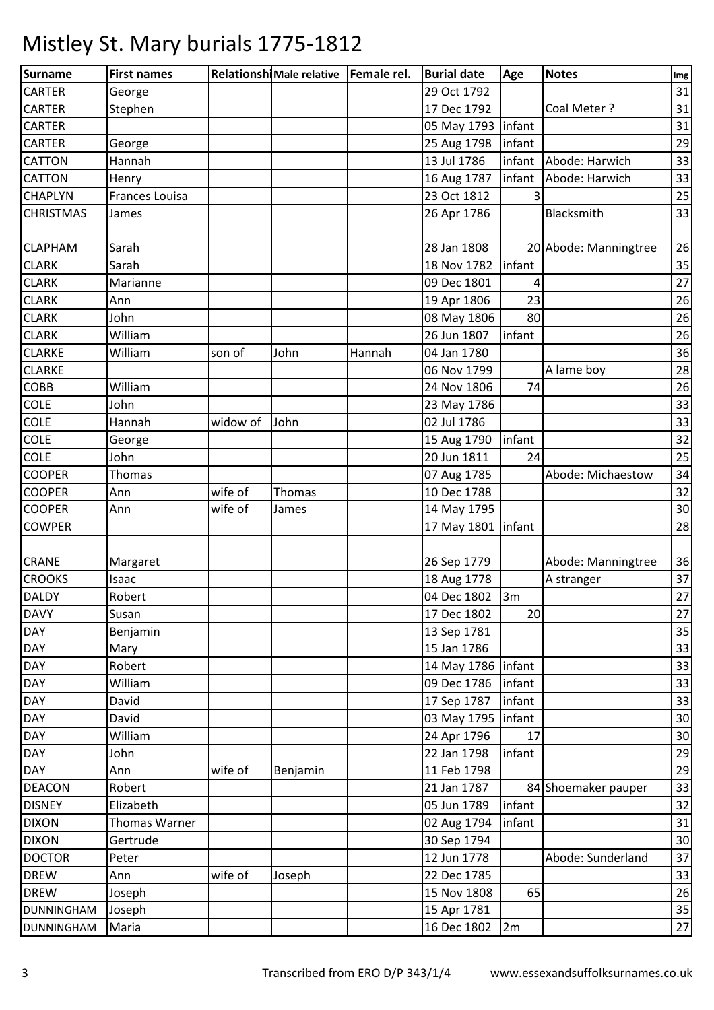| Surname           | <b>First names</b> |          | Relationshi Male relative   Female rel. |        | <b>Burial date</b>   | Age    | <b>Notes</b>          | Img |
|-------------------|--------------------|----------|-----------------------------------------|--------|----------------------|--------|-----------------------|-----|
| <b>CARTER</b>     | George             |          |                                         |        | 29 Oct 1792          |        |                       | 31  |
| <b>CARTER</b>     | Stephen            |          |                                         |        | 17 Dec 1792          |        | Coal Meter ?          | 31  |
| <b>CARTER</b>     |                    |          |                                         |        | 05 May 1793   infant |        |                       | 31  |
| <b>CARTER</b>     | George             |          |                                         |        | 25 Aug 1798          | infant |                       | 29  |
| <b>CATTON</b>     | Hannah             |          |                                         |        | 13 Jul 1786          | infant | Abode: Harwich        | 33  |
| <b>CATTON</b>     | Henry              |          |                                         |        | 16 Aug 1787          | infant | Abode: Harwich        | 33  |
| <b>CHAPLYN</b>    | Frances Louisa     |          |                                         |        | 23 Oct 1812          |        |                       | 25  |
| <b>CHRISTMAS</b>  | James              |          |                                         |        | 26 Apr 1786          |        | Blacksmith            | 33  |
|                   |                    |          |                                         |        |                      |        |                       |     |
| <b>CLAPHAM</b>    | Sarah              |          |                                         |        | 28 Jan 1808          |        | 20 Abode: Manningtree | 26  |
| <b>CLARK</b>      | Sarah              |          |                                         |        | 18 Nov 1782          | infant |                       | 35  |
| <b>CLARK</b>      | Marianne           |          |                                         |        | 09 Dec 1801          | 4      |                       | 27  |
| <b>CLARK</b>      | Ann                |          |                                         |        | 19 Apr 1806          | 23     |                       | 26  |
| <b>CLARK</b>      | John               |          |                                         |        | 08 May 1806          | 80     |                       | 26  |
| <b>CLARK</b>      | William            |          |                                         |        | 26 Jun 1807          | infant |                       | 26  |
| <b>CLARKE</b>     | William            | son of   | John                                    | Hannah | 04 Jan 1780          |        |                       | 36  |
| <b>CLARKE</b>     |                    |          |                                         |        | 06 Nov 1799          |        | A lame boy            | 28  |
| COBB              | William            |          |                                         |        | 24 Nov 1806          | 74     |                       | 26  |
| COLE              | John               |          |                                         |        | 23 May 1786          |        |                       | 33  |
| <b>COLE</b>       | Hannah             | widow of | John                                    |        | 02 Jul 1786          |        |                       | 33  |
| <b>COLE</b>       | George             |          |                                         |        | 15 Aug 1790          | infant |                       | 32  |
| <b>COLE</b>       | John               |          |                                         |        | 20 Jun 1811          | 24     |                       | 25  |
| <b>COOPER</b>     | Thomas             |          |                                         |        | 07 Aug 1785          |        | Abode: Michaestow     | 34  |
| <b>COOPER</b>     | Ann                | wife of  | Thomas                                  |        | 10 Dec 1788          |        |                       | 32  |
| <b>COOPER</b>     | Ann                | wife of  | James                                   |        | 14 May 1795          |        |                       | 30  |
| <b>COWPER</b>     |                    |          |                                         |        | 17 May 1801          | infant |                       | 28  |
|                   |                    |          |                                         |        |                      |        |                       |     |
| <b>CRANE</b>      | Margaret           |          |                                         |        | 26 Sep 1779          |        | Abode: Manningtree    | 36  |
| <b>CROOKS</b>     | Isaac              |          |                                         |        | 18 Aug 1778          |        | A stranger            | 37  |
| <b>DALDY</b>      | Robert             |          |                                         |        | 04 Dec 1802 3m       |        |                       | 27  |
| <b>DAVY</b>       | Susan              |          |                                         |        | 17 Dec 1802          | 20     |                       | 27  |
| <b>DAY</b>        | Benjamin           |          |                                         |        | 13 Sep 1781          |        |                       | 35  |
| <b>DAY</b>        | Mary               |          |                                         |        | 15 Jan 1786          |        |                       | 33  |
| <b>DAY</b>        | Robert             |          |                                         |        | 14 May 1786   infant |        |                       | 33  |
| <b>DAY</b>        | William            |          |                                         |        | 09 Dec 1786          | infant |                       | 33  |
| <b>DAY</b>        | David              |          |                                         |        | 17 Sep 1787          | infant |                       | 33  |
| <b>DAY</b>        | David              |          |                                         |        | 03 May 1795          | infant |                       | 30  |
| <b>DAY</b>        | William            |          |                                         |        | 24 Apr 1796          | 17     |                       | 30  |
| <b>DAY</b>        | John               |          |                                         |        | 22 Jan 1798          | infant |                       | 29  |
| <b>DAY</b>        | Ann                | wife of  | Benjamin                                |        | 11 Feb 1798          |        |                       | 29  |
| <b>DEACON</b>     | Robert             |          |                                         |        | 21 Jan 1787          |        | 84 Shoemaker pauper   | 33  |
| <b>DISNEY</b>     | Elizabeth          |          |                                         |        | 05 Jun 1789          | infant |                       | 32  |
| <b>DIXON</b>      | Thomas Warner      |          |                                         |        | 02 Aug 1794          | infant |                       | 31  |
| <b>DIXON</b>      | Gertrude           |          |                                         |        | 30 Sep 1794          |        |                       | 30  |
| <b>DOCTOR</b>     | Peter              |          |                                         |        | 12 Jun 1778          |        | Abode: Sunderland     | 37  |
| <b>DREW</b>       | Ann                | wife of  | Joseph                                  |        | 22 Dec 1785          |        |                       | 33  |
| <b>DREW</b>       | Joseph             |          |                                         |        | 15 Nov 1808          | 65     |                       | 26  |
| <b>DUNNINGHAM</b> | Joseph             |          |                                         |        | 15 Apr 1781          |        |                       | 35  |
| <b>DUNNINGHAM</b> | Maria              |          |                                         |        | 16 Dec 1802          | 2m     |                       | 27  |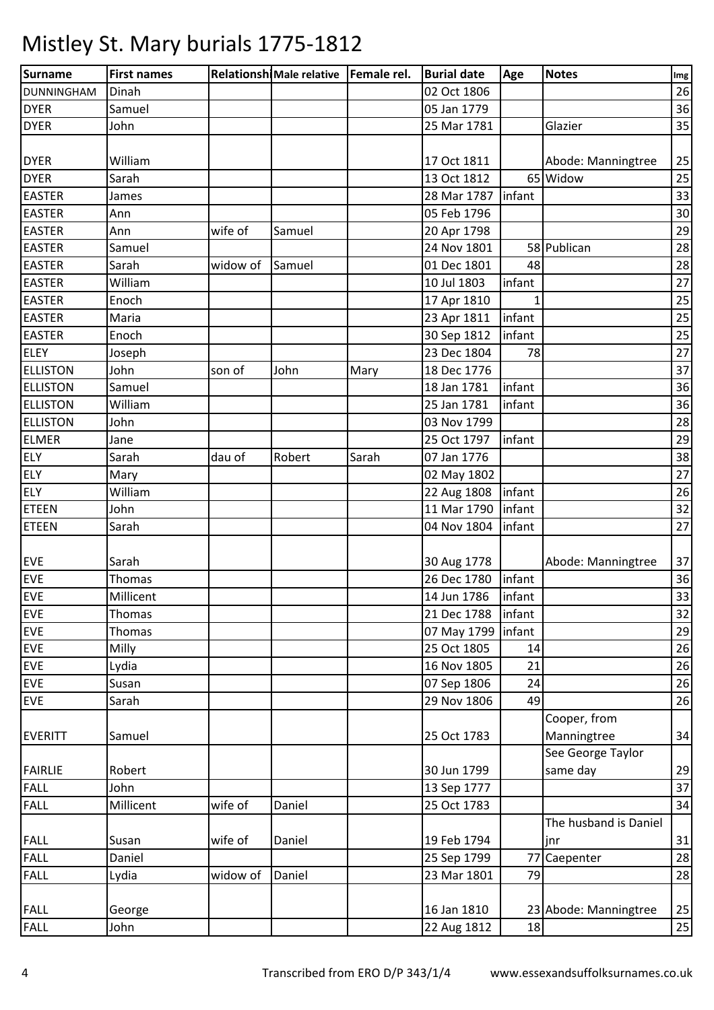| <b>Surname</b>    | <b>First names</b> |          | Relationshi Male relative   Female rel. |       | <b>Burial date</b> | Age    | <b>Notes</b>          | Img |
|-------------------|--------------------|----------|-----------------------------------------|-------|--------------------|--------|-----------------------|-----|
| <b>DUNNINGHAM</b> | Dinah              |          |                                         |       | 02 Oct 1806        |        |                       | 26  |
| <b>DYER</b>       | Samuel             |          |                                         |       | 05 Jan 1779        |        |                       | 36  |
| <b>DYER</b>       | John               |          |                                         |       | 25 Mar 1781        |        | Glazier               | 35  |
|                   |                    |          |                                         |       |                    |        |                       |     |
| <b>DYER</b>       | William            |          |                                         |       | 17 Oct 1811        |        | Abode: Manningtree    | 25  |
| <b>DYER</b>       | Sarah              |          |                                         |       | 13 Oct 1812        |        | 65 Widow              | 25  |
| <b>EASTER</b>     | James              |          |                                         |       | 28 Mar 1787        | infant |                       | 33  |
| <b>EASTER</b>     | Ann                |          |                                         |       | 05 Feb 1796        |        |                       | 30  |
| <b>EASTER</b>     | Ann                | wife of  | Samuel                                  |       | 20 Apr 1798        |        |                       | 29  |
| <b>EASTER</b>     | Samuel             |          |                                         |       | 24 Nov 1801        |        | 58 Publican           | 28  |
| <b>EASTER</b>     | Sarah              | widow of | Samuel                                  |       | 01 Dec 1801        | 48     |                       | 28  |
| <b>EASTER</b>     | William            |          |                                         |       | 10 Jul 1803        | infant |                       | 27  |
| <b>EASTER</b>     | Enoch              |          |                                         |       | 17 Apr 1810        | 1      |                       | 25  |
| <b>EASTER</b>     | Maria              |          |                                         |       | 23 Apr 1811        | infant |                       | 25  |
| <b>EASTER</b>     | Enoch              |          |                                         |       | 30 Sep 1812        | infant |                       | 25  |
| <b>ELEY</b>       | Joseph             |          |                                         |       | 23 Dec 1804        | 78     |                       | 27  |
| <b>ELLISTON</b>   | John               | son of   | John                                    | Mary  | 18 Dec 1776        |        |                       | 37  |
| <b>ELLISTON</b>   | Samuel             |          |                                         |       | 18 Jan 1781        | infant |                       | 36  |
| <b>ELLISTON</b>   | William            |          |                                         |       | 25 Jan 1781        | infant |                       | 36  |
| <b>ELLISTON</b>   | John               |          |                                         |       | 03 Nov 1799        |        |                       | 28  |
| <b>ELMER</b>      | Jane               |          |                                         |       | 25 Oct 1797        | infant |                       | 29  |
| <b>ELY</b>        | Sarah              | dau of   | Robert                                  | Sarah | 07 Jan 1776        |        |                       | 38  |
| <b>ELY</b>        | Mary               |          |                                         |       | 02 May 1802        |        |                       | 27  |
| <b>ELY</b>        | William            |          |                                         |       | 22 Aug 1808        | infant |                       | 26  |
| <b>ETEEN</b>      | John               |          |                                         |       | 11 Mar 1790        | infant |                       | 32  |
| <b>ETEEN</b>      | Sarah              |          |                                         |       | 04 Nov 1804        | infant |                       | 27  |
|                   |                    |          |                                         |       |                    |        |                       |     |
| <b>EVE</b>        | Sarah              |          |                                         |       | 30 Aug 1778        |        | Abode: Manningtree    | 37  |
| <b>EVE</b>        | Thomas             |          |                                         |       | 26 Dec 1780        | infant |                       | 36  |
| <b>EVE</b>        | Millicent          |          |                                         |       | 14 Jun 1786        | infant |                       | 33  |
| <b>EVE</b>        | <b>Thomas</b>      |          |                                         |       | 21 Dec 1788        | infant |                       | 32  |
| <b>EVE</b>        | <b>Thomas</b>      |          |                                         |       | 07 May 1799        | infant |                       | 29  |
| <b>EVE</b>        | Milly              |          |                                         |       | 25 Oct 1805        | 14     |                       | 26  |
| <b>EVE</b>        | Lydia              |          |                                         |       | 16 Nov 1805        | 21     |                       | 26  |
| <b>EVE</b>        | Susan              |          |                                         |       | 07 Sep 1806        | 24     |                       | 26  |
| <b>EVE</b>        | Sarah              |          |                                         |       | 29 Nov 1806        | 49     |                       | 26  |
|                   |                    |          |                                         |       |                    |        | Cooper, from          |     |
| <b>EVERITT</b>    | Samuel             |          |                                         |       | 25 Oct 1783        |        | Manningtree           | 34  |
|                   |                    |          |                                         |       |                    |        | See George Taylor     |     |
| <b>FAIRLIE</b>    | Robert             |          |                                         |       | 30 Jun 1799        |        | same day              | 29  |
| <b>FALL</b>       | John               |          |                                         |       | 13 Sep 1777        |        |                       | 37  |
| <b>FALL</b>       | Millicent          | wife of  | Daniel                                  |       | 25 Oct 1783        |        |                       | 34  |
|                   |                    |          |                                         |       |                    |        | The husband is Daniel |     |
| <b>FALL</b>       | Susan              | wife of  | Daniel                                  |       | 19 Feb 1794        |        | jnr                   | 31  |
| <b>FALL</b>       | Daniel             |          |                                         |       | 25 Sep 1799        | 77     | Caepenter             | 28  |
| <b>FALL</b>       | Lydia              | widow of | Daniel                                  |       | 23 Mar 1801        | 79     |                       | 28  |
|                   |                    |          |                                         |       |                    |        |                       |     |
| <b>FALL</b>       | George             |          |                                         |       | 16 Jan 1810        |        | 23 Abode: Manningtree | 25  |
| <b>FALL</b>       | John               |          |                                         |       | 22 Aug 1812        | 18     |                       | 25  |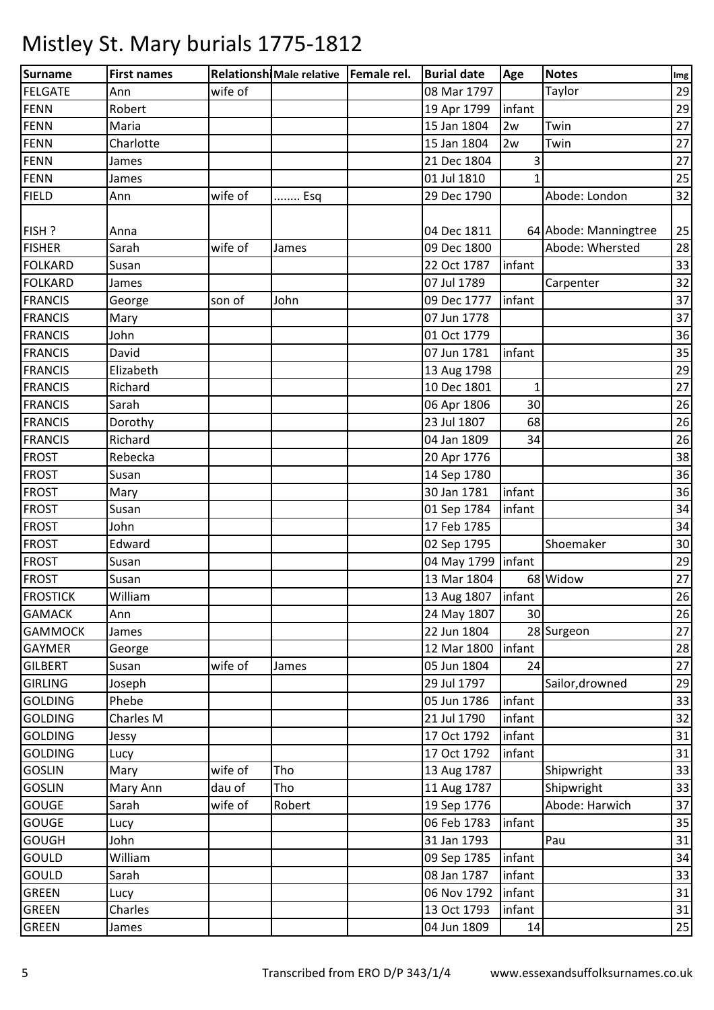| <b>Surname</b>  | <b>First names</b> |         | Relationshi Male relative   Female rel. | <b>Burial date</b>   | Age             | <b>Notes</b>          | Img |
|-----------------|--------------------|---------|-----------------------------------------|----------------------|-----------------|-----------------------|-----|
| <b>FELGATE</b>  | Ann                | wife of |                                         | 08 Mar 1797          |                 | Taylor                | 29  |
| FENN            | Robert             |         |                                         | 19 Apr 1799          | infant          |                       | 29  |
| <b>FENN</b>     | Maria              |         |                                         | 15 Jan 1804          | 2w              | Twin                  | 27  |
| FENN            | Charlotte          |         |                                         | 15 Jan 1804          | 2w              | Twin                  | 27  |
| <b>FENN</b>     | James              |         |                                         | 21 Dec 1804          | 3               |                       | 27  |
| FENN            | James              |         |                                         | 01 Jul 1810          |                 |                       | 25  |
| <b>FIELD</b>    | Ann                | wife of | Esq                                     | 29 Dec 1790          |                 | Abode: London         | 32  |
|                 |                    |         |                                         |                      |                 |                       |     |
| FISH ?          | Anna               |         |                                         | 04 Dec 1811          |                 | 64 Abode: Manningtree | 25  |
| <b>FISHER</b>   | Sarah              | wife of | James                                   | 09 Dec 1800          |                 | Abode: Whersted       | 28  |
| <b>FOLKARD</b>  | Susan              |         |                                         | 22 Oct 1787          | infant          |                       | 33  |
| <b>FOLKARD</b>  | James              |         |                                         | 07 Jul 1789          |                 | Carpenter             | 32  |
| <b>FRANCIS</b>  | George             | son of  | John                                    | 09 Dec 1777          | infant          |                       | 37  |
| <b>FRANCIS</b>  | Mary               |         |                                         | 07 Jun 1778          |                 |                       | 37  |
| <b>FRANCIS</b>  | John               |         |                                         | 01 Oct 1779          |                 |                       | 36  |
| <b>FRANCIS</b>  | David              |         |                                         | 07 Jun 1781          | infant          |                       | 35  |
| <b>FRANCIS</b>  | Elizabeth          |         |                                         | 13 Aug 1798          |                 |                       | 29  |
| <b>FRANCIS</b>  | Richard            |         |                                         | 10 Dec 1801          | 1               |                       | 27  |
| <b>FRANCIS</b>  | Sarah              |         |                                         | 06 Apr 1806          | 30              |                       | 26  |
| <b>FRANCIS</b>  | Dorothy            |         |                                         | 23 Jul 1807          | 68              |                       | 26  |
| <b>FRANCIS</b>  | Richard            |         |                                         | 04 Jan 1809          | 34              |                       | 26  |
| <b>FROST</b>    | Rebecka            |         |                                         | 20 Apr 1776          |                 |                       | 38  |
| <b>FROST</b>    | Susan              |         |                                         | 14 Sep 1780          |                 |                       | 36  |
| <b>FROST</b>    | Mary               |         |                                         | 30 Jan 1781          | infant          |                       | 36  |
| <b>FROST</b>    | Susan              |         |                                         | 01 Sep 1784          | infant          |                       | 34  |
| <b>FROST</b>    | John               |         |                                         | 17 Feb 1785          |                 |                       | 34  |
| <b>FROST</b>    | Edward             |         |                                         | 02 Sep 1795          |                 | Shoemaker             | 30  |
| <b>FROST</b>    | Susan              |         |                                         | 04 May 1799   infant |                 |                       | 29  |
| <b>FROST</b>    | Susan              |         |                                         | 13 Mar 1804          |                 | 68 Widow              | 27  |
| <b>FROSTICK</b> | William            |         |                                         | 13 Aug 1807   infant |                 |                       | 26  |
| <b>GAMACK</b>   | Ann                |         |                                         | 24 May 1807          | 30 <sup>1</sup> |                       | 26  |
| <b>GAMMOCK</b>  | James              |         |                                         | 22 Jun 1804          |                 | 28 Surgeon            | 27  |
| <b>GAYMER</b>   | George             |         |                                         | 12 Mar 1800          | infant          |                       | 28  |
| <b>GILBERT</b>  | Susan              | wife of | James                                   | 05 Jun 1804          | 24              |                       | 27  |
| <b>GIRLING</b>  | Joseph             |         |                                         | 29 Jul 1797          |                 | Sailor, drowned       | 29  |
| <b>GOLDING</b>  | Phebe              |         |                                         | 05 Jun 1786          | infant          |                       | 33  |
| <b>GOLDING</b>  | Charles M          |         |                                         | 21 Jul 1790          | infant          |                       | 32  |
| <b>GOLDING</b>  | Jessy              |         |                                         | 17 Oct 1792          | infant          |                       | 31  |
| <b>GOLDING</b>  | Lucy               |         |                                         | 17 Oct 1792          | infant          |                       | 31  |
| <b>GOSLIN</b>   | Mary               | wife of | Tho                                     | 13 Aug 1787          |                 | Shipwright            | 33  |
| <b>GOSLIN</b>   | Mary Ann           | dau of  | Tho                                     | 11 Aug 1787          |                 | Shipwright            | 33  |
| <b>GOUGE</b>    | Sarah              | wife of | Robert                                  | 19 Sep 1776          |                 | Abode: Harwich        | 37  |
| <b>GOUGE</b>    | Lucy               |         |                                         | 06 Feb 1783          | infant          |                       | 35  |
| <b>GOUGH</b>    | John               |         |                                         | 31 Jan 1793          |                 | Pau                   | 31  |
| <b>GOULD</b>    | William            |         |                                         | 09 Sep 1785          | infant          |                       | 34  |
| <b>GOULD</b>    | Sarah              |         |                                         | 08 Jan 1787          | infant          |                       | 33  |
| <b>GREEN</b>    | Lucy               |         |                                         | 06 Nov 1792          | infant          |                       | 31  |
| <b>GREEN</b>    | Charles            |         |                                         | 13 Oct 1793          | infant          |                       | 31  |
| <b>GREEN</b>    | James              |         |                                         | 04 Jun 1809          | 14              |                       | 25  |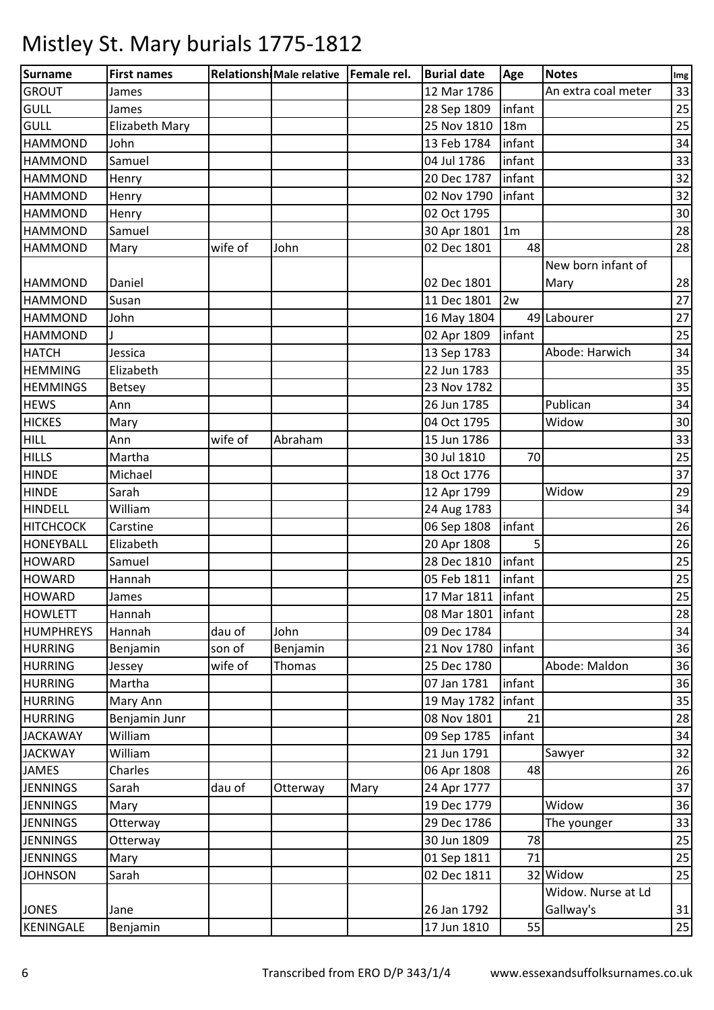| Surname          | <b>First names</b> |         | Relationshi Male relative   Female rel. |      | <b>Burial date</b>  | Age            | <b>Notes</b>        | Img |
|------------------|--------------------|---------|-----------------------------------------|------|---------------------|----------------|---------------------|-----|
| <b>GROUT</b>     | James              |         |                                         |      | 12 Mar 1786         |                | An extra coal meter | 33  |
| <b>GULL</b>      | James              |         |                                         |      | 28 Sep 1809         | infant         |                     | 25  |
| <b>GULL</b>      | Elizabeth Mary     |         |                                         |      | 25 Nov 1810         | 18m            |                     | 25  |
| <b>HAMMOND</b>   | John               |         |                                         |      | 13 Feb 1784         | infant         |                     | 34  |
| <b>HAMMOND</b>   | Samuel             |         |                                         |      | 04 Jul 1786         | infant         |                     | 33  |
| <b>HAMMOND</b>   | Henry              |         |                                         |      | 20 Dec 1787         | infant         |                     | 32  |
| <b>HAMMOND</b>   | Henry              |         |                                         |      | 02 Nov 1790         | infant         |                     | 32  |
| <b>HAMMOND</b>   | Henry              |         |                                         |      | 02 Oct 1795         |                |                     | 30  |
| <b>HAMMOND</b>   | Samuel             |         |                                         |      | 30 Apr 1801         | 1 <sub>m</sub> |                     | 28  |
| <b>HAMMOND</b>   | Mary               | wife of | John                                    |      | 02 Dec 1801         | 48             |                     | 28  |
|                  |                    |         |                                         |      |                     |                | New born infant of  |     |
| <b>HAMMOND</b>   | Daniel             |         |                                         |      | 02 Dec 1801         |                | Mary                | 28  |
| <b>HAMMOND</b>   | Susan              |         |                                         |      | 11 Dec 1801         | 2w             |                     | 27  |
| <b>HAMMOND</b>   | John               |         |                                         |      | 16 May 1804         |                | 49 Labourer         | 27  |
| <b>HAMMOND</b>   |                    |         |                                         |      | 02 Apr 1809         | infant         |                     | 25  |
| <b>HATCH</b>     | Jessica            |         |                                         |      | 13 Sep 1783         |                | Abode: Harwich      | 34  |
| <b>HEMMING</b>   | Elizabeth          |         |                                         |      | 22 Jun 1783         |                |                     | 35  |
| <b>HEMMINGS</b>  | <b>Betsey</b>      |         |                                         |      | 23 Nov 1782         |                |                     | 35  |
| <b>HEWS</b>      | Ann                |         |                                         |      | 26 Jun 1785         |                | Publican            | 34  |
| <b>HICKES</b>    | Mary               |         |                                         |      | 04 Oct 1795         |                | Widow               | 30  |
| <b>HILL</b>      | Ann                | wife of | Abraham                                 |      | 15 Jun 1786         |                |                     | 33  |
| <b>HILLS</b>     | Martha             |         |                                         |      | 30 Jul 1810         | 70             |                     | 25  |
| <b>HINDE</b>     | Michael            |         |                                         |      | 18 Oct 1776         |                |                     | 37  |
| <b>HINDE</b>     | Sarah              |         |                                         |      | 12 Apr 1799         |                | Widow               | 29  |
| <b>HINDELL</b>   | William            |         |                                         |      | 24 Aug 1783         |                |                     | 34  |
| <b>HITCHCOCK</b> | Carstine           |         |                                         |      | 06 Sep 1808         | infant         |                     | 26  |
| <b>HONEYBALL</b> | Elizabeth          |         |                                         |      | 20 Apr 1808         | 5              |                     | 26  |
| <b>HOWARD</b>    | Samuel             |         |                                         |      | 28 Dec 1810         | infant         |                     | 25  |
| <b>HOWARD</b>    | Hannah             |         |                                         |      | 05 Feb 1811         | infant         |                     | 25  |
| <b>HOWARD</b>    | James              |         |                                         |      | 17 Mar 1811 linfant |                |                     | 25  |
| <b>HOWLETT</b>   | Hannah             |         |                                         |      | 08 Mar 1801         | infant         |                     | 28  |
| <b>HUMPHREYS</b> | Hannah             | dau of  | John                                    |      | 09 Dec 1784         |                |                     | 34  |
| <b>HURRING</b>   | Benjamin           | son of  | Benjamin                                |      | 21 Nov 1780         | infant         |                     | 36  |
| <b>HURRING</b>   | Jessey             | wife of | Thomas                                  |      | 25 Dec 1780         |                | Abode: Maldon       | 36  |
| <b>HURRING</b>   | Martha             |         |                                         |      | 07 Jan 1781         | infant         |                     | 36  |
| <b>HURRING</b>   | Mary Ann           |         |                                         |      | 19 May 1782         | infant         |                     | 35  |
| <b>HURRING</b>   | Benjamin Junr      |         |                                         |      | 08 Nov 1801         | 21             |                     | 28  |
| <b>JACKAWAY</b>  | William            |         |                                         |      | 09 Sep 1785         | infant         |                     | 34  |
| <b>JACKWAY</b>   | William            |         |                                         |      | 21 Jun 1791         |                | Sawyer              | 32  |
| JAMES            | Charles            |         |                                         |      | 06 Apr 1808         | 48             |                     | 26  |
| <b>JENNINGS</b>  | Sarah              | dau of  | Otterway                                | Mary | 24 Apr 1777         |                |                     | 37  |
| <b>JENNINGS</b>  | Mary               |         |                                         |      | 19 Dec 1779         |                | Widow               | 36  |
| <b>JENNINGS</b>  | Otterway           |         |                                         |      | 29 Dec 1786         |                | The younger         | 33  |
| <b>JENNINGS</b>  | Otterway           |         |                                         |      | 30 Jun 1809         | 78             |                     | 25  |
| <b>JENNINGS</b>  | Mary               |         |                                         |      | 01 Sep 1811         | 71             |                     | 25  |
| <b>JOHNSON</b>   | Sarah              |         |                                         |      | 02 Dec 1811         |                | 32 Widow            | 25  |
|                  |                    |         |                                         |      |                     |                | Widow. Nurse at Ld  |     |
| <b>JONES</b>     | Jane               |         |                                         |      | 26 Jan 1792         |                | Gallway's           | 31  |
| KENINGALE        | Benjamin           |         |                                         |      | 17 Jun 1810         | 55             |                     | 25  |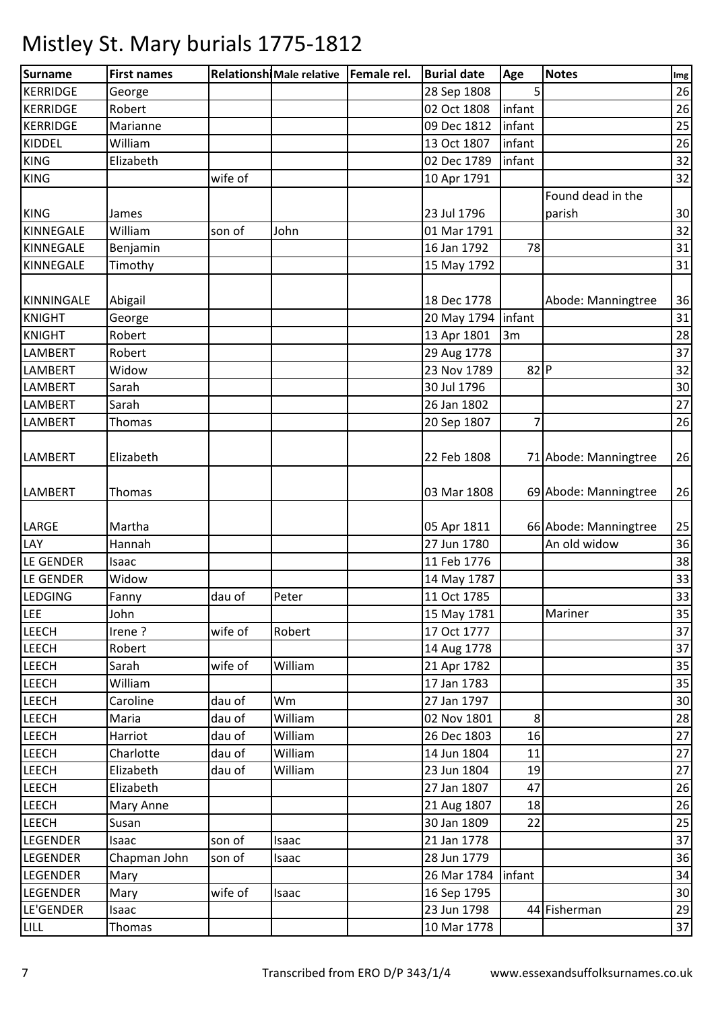| Surname          | <b>First names</b> |         | Relationshi Male relative   Female rel. | <b>Burial date</b> | Age    | <b>Notes</b>          | Img    |
|------------------|--------------------|---------|-----------------------------------------|--------------------|--------|-----------------------|--------|
| <b>KERRIDGE</b>  | George             |         |                                         | 28 Sep 1808        | 5      |                       | 26     |
| <b>KERRIDGE</b>  | Robert             |         |                                         | 02 Oct 1808        | infant |                       | 26     |
| <b>KERRIDGE</b>  | Marianne           |         |                                         | 09 Dec 1812        | infant |                       | 25     |
| KIDDEL           | William            |         |                                         | 13 Oct 1807        | infant |                       | 26     |
| <b>KING</b>      | Elizabeth          |         |                                         | 02 Dec 1789        | infant |                       | 32     |
| <b>KING</b>      |                    | wife of |                                         | 10 Apr 1791        |        |                       | 32     |
|                  |                    |         |                                         |                    |        | Found dead in the     |        |
| <b>KING</b>      | James              |         |                                         | 23 Jul 1796        |        | parish                | 30     |
| KINNEGALE        | William            | son of  | John                                    | 01 Mar 1791        |        |                       | 32     |
| KINNEGALE        | Benjamin           |         |                                         | 16 Jan 1792        | 78     |                       | 31     |
| <b>KINNEGALE</b> | Timothy            |         |                                         | 15 May 1792        |        |                       | 31     |
|                  |                    |         |                                         |                    |        |                       |        |
| KINNINGALE       | Abigail            |         |                                         | 18 Dec 1778        |        | Abode: Manningtree    | 36     |
| <b>KNIGHT</b>    | George             |         |                                         | 20 May 1794        | infant |                       | 31     |
| <b>KNIGHT</b>    | Robert             |         |                                         | 13 Apr 1801        | 3m     |                       | 28     |
| <b>LAMBERT</b>   | Robert             |         |                                         | 29 Aug 1778        |        |                       | 37     |
| <b>LAMBERT</b>   | Widow              |         |                                         | 23 Nov 1789        | 82P    |                       | 32     |
| <b>LAMBERT</b>   | Sarah              |         |                                         | 30 Jul 1796        |        |                       | 30     |
| LAMBERT          | Sarah              |         |                                         | 26 Jan 1802        |        |                       | 27     |
| <b>LAMBERT</b>   | Thomas             |         |                                         | 20 Sep 1807        | 7      |                       | 26     |
|                  |                    |         |                                         |                    |        |                       |        |
| <b>LAMBERT</b>   | Elizabeth          |         |                                         | 22 Feb 1808        |        | 71 Abode: Manningtree | 26     |
|                  |                    |         |                                         |                    |        |                       |        |
| <b>LAMBERT</b>   | Thomas             |         |                                         | 03 Mar 1808        |        | 69 Abode: Manningtree | 26     |
|                  |                    |         |                                         |                    |        |                       |        |
| LARGE            | Martha             |         |                                         | 05 Apr 1811        |        | 66 Abode: Manningtree | 25     |
| LAY              | Hannah             |         |                                         | 27 Jun 1780        |        | An old widow          | 36     |
| LE GENDER        | Isaac              |         |                                         | 11 Feb 1776        |        |                       | 38     |
| LE GENDER        | Widow              |         |                                         | 14 May 1787        |        |                       | 33     |
| <b>LEDGING</b>   | Fanny              | dau of  | Peter                                   | 11 Oct 1785        |        |                       | 33     |
| <b>LEE</b>       | John               |         |                                         | 15 May 1781        |        | Mariner               | 35     |
| <b>LEECH</b>     | Irene?             | wife of | Robert                                  | 17 Oct 1777        |        |                       | 37     |
| <b>LEECH</b>     | Robert             |         |                                         | 14 Aug 1778        |        |                       | 37     |
| <b>LEECH</b>     | Sarah              | wife of | William                                 | 21 Apr 1782        |        |                       | 35     |
| <b>LEECH</b>     | William            |         |                                         | 17 Jan 1783        |        |                       | 35     |
| <b>LEECH</b>     | Caroline           | dau of  | Wm                                      | 27 Jan 1797        |        |                       | 30     |
| LEECH            | Maria              | dau of  | William                                 | 02 Nov 1801        | 8      |                       | 28     |
| <b>LEECH</b>     | Harriot            | dau of  | William                                 | 26 Dec 1803        | 16     |                       | 27     |
| <b>LEECH</b>     | Charlotte          | dau of  | William                                 | 14 Jun 1804        | 11     |                       | 27     |
| <b>LEECH</b>     | Elizabeth          | dau of  | William                                 | 23 Jun 1804        | 19     |                       | 27     |
| <b>LEECH</b>     | Elizabeth          |         |                                         | 27 Jan 1807        | 47     |                       | 26     |
| <b>LEECH</b>     | Mary Anne          |         |                                         | 21 Aug 1807        | 18     |                       | 26     |
| <b>LEECH</b>     | Susan              |         |                                         | 30 Jan 1809        | 22     |                       | 25     |
| <b>LEGENDER</b>  | Isaac              | son of  | Isaac                                   | 21 Jan 1778        |        |                       | 37     |
| <b>LEGENDER</b>  | Chapman John       | son of  | Isaac                                   | 28 Jun 1779        |        |                       | 36     |
| <b>LEGENDER</b>  | Mary               |         |                                         | 26 Mar 1784        | infant |                       | 34     |
| <b>LEGENDER</b>  | Mary               | wife of | Isaac                                   | 16 Sep 1795        |        |                       | 30     |
| LE'GENDER        | Isaac              |         |                                         | 23 Jun 1798        |        | 44 Fisherman          | 29     |
| LILL             | Thomas             |         |                                         | 10 Mar 1778        |        |                       | $37\,$ |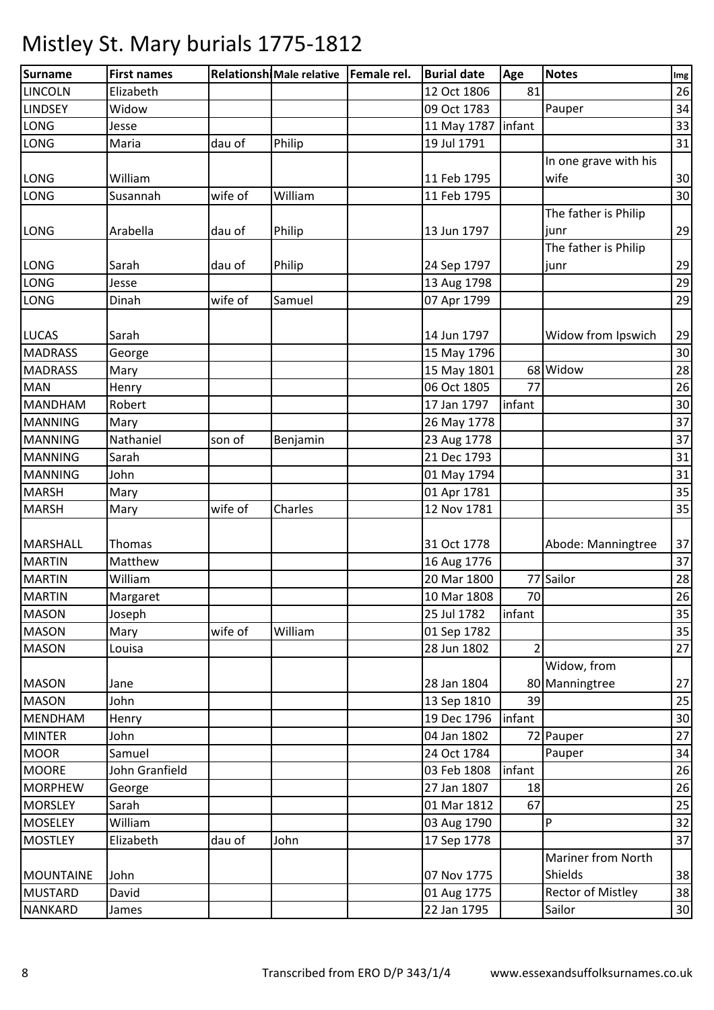| Surname          | <b>First names</b> |         | Relationshi Male relative   Female rel. | <b>Burial date</b>   | Age    | <b>Notes</b>          | Img |
|------------------|--------------------|---------|-----------------------------------------|----------------------|--------|-----------------------|-----|
| <b>LINCOLN</b>   | Elizabeth          |         |                                         | 12 Oct 1806          | 81     |                       | 26  |
| <b>LINDSEY</b>   | Widow              |         |                                         | 09 Oct 1783          |        | Pauper                | 34  |
| LONG             | Jesse              |         |                                         | 11 May 1787   infant |        |                       | 33  |
| LONG             | Maria              | dau of  | Philip                                  | 19 Jul 1791          |        |                       | 31  |
|                  |                    |         |                                         |                      |        | In one grave with his |     |
| LONG             | William            |         |                                         | 11 Feb 1795          |        | wife                  | 30  |
| LONG             | Susannah           | wife of | William                                 | 11 Feb 1795          |        |                       | 30  |
|                  |                    |         |                                         |                      |        | The father is Philip  |     |
| <b>LONG</b>      | Arabella           | dau of  | Philip                                  | 13 Jun 1797          |        | junr                  | 29  |
|                  |                    |         |                                         |                      |        | The father is Philip  |     |
| LONG             | Sarah              | dau of  | Philip                                  | 24 Sep 1797          |        | junr                  | 29  |
| LONG             | Jesse              |         |                                         | 13 Aug 1798          |        |                       | 29  |
| LONG             | Dinah              | wife of | Samuel                                  | 07 Apr 1799          |        |                       | 29  |
|                  |                    |         |                                         |                      |        |                       |     |
| <b>LUCAS</b>     | Sarah              |         |                                         | 14 Jun 1797          |        | Widow from Ipswich    | 29  |
| <b>MADRASS</b>   | George             |         |                                         | 15 May 1796          |        |                       | 30  |
| <b>MADRASS</b>   | Mary               |         |                                         | 15 May 1801          |        | 68 Widow              | 28  |
| <b>MAN</b>       | Henry              |         |                                         | 06 Oct 1805          | 77     |                       | 26  |
| <b>MANDHAM</b>   | Robert             |         |                                         | 17 Jan 1797          | infant |                       | 30  |
| <b>MANNING</b>   | Mary               |         |                                         | 26 May 1778          |        |                       | 37  |
| <b>MANNING</b>   | Nathaniel          | son of  | Benjamin                                | 23 Aug 1778          |        |                       | 37  |
| <b>MANNING</b>   | Sarah              |         |                                         | 21 Dec 1793          |        |                       | 31  |
| <b>MANNING</b>   | John               |         |                                         | 01 May 1794          |        |                       | 31  |
| <b>MARSH</b>     | Mary               |         |                                         | 01 Apr 1781          |        |                       | 35  |
| <b>MARSH</b>     | Mary               | wife of | Charles                                 | 12 Nov 1781          |        |                       | 35  |
|                  |                    |         |                                         |                      |        |                       |     |
| MARSHALL         | Thomas             |         |                                         | 31 Oct 1778          |        | Abode: Manningtree    | 37  |
| <b>MARTIN</b>    | Matthew            |         |                                         | 16 Aug 1776          |        |                       | 37  |
| <b>MARTIN</b>    | William            |         |                                         | 20 Mar 1800          |        | 77 Sailor             | 28  |
| <b>MARTIN</b>    | Margaret           |         |                                         | 10 Mar 1808          | 70     |                       | 26  |
| <b>MASON</b>     | Joseph             |         |                                         | 25 Jul 1782          | infant |                       | 35  |
| <b>MASON</b>     | Mary               | wife of | William                                 | 01 Sep 1782          |        |                       | 35  |
| <b>MASON</b>     | Louisa             |         |                                         | 28 Jun 1802          | 2      |                       | 27  |
|                  |                    |         |                                         |                      |        | Widow, from           |     |
| <b>MASON</b>     | Jane               |         |                                         | 28 Jan 1804          |        | 80 Manningtree        | 27  |
| <b>MASON</b>     | John               |         |                                         | 13 Sep 1810          | 39     |                       | 25  |
| <b>MENDHAM</b>   | Henry              |         |                                         | 19 Dec 1796          | infant |                       | 30  |
| <b>MINTER</b>    | John               |         |                                         | 04 Jan 1802          |        | 72 Pauper             | 27  |
| <b>MOOR</b>      | Samuel             |         |                                         | 24 Oct 1784          |        | Pauper                | 34  |
| <b>MOORE</b>     | John Granfield     |         |                                         | 03 Feb 1808          | infant |                       | 26  |
| <b>MORPHEW</b>   | George             |         |                                         | 27 Jan 1807          | 18     |                       | 26  |
| <b>MORSLEY</b>   | Sarah              |         |                                         | 01 Mar 1812          | 67     |                       | 25  |
| <b>MOSELEY</b>   | William            |         |                                         | 03 Aug 1790          |        | P                     | 32  |
| <b>MOSTLEY</b>   | Elizabeth          | dau of  | John                                    | 17 Sep 1778          |        |                       | 37  |
|                  |                    |         |                                         |                      |        | Mariner from North    |     |
| <b>MOUNTAINE</b> | John               |         |                                         | 07 Nov 1775          |        | Shields               | 38  |
| <b>MUSTARD</b>   | David              |         |                                         | 01 Aug 1775          |        | Rector of Mistley     | 38  |
| <b>NANKARD</b>   | James              |         |                                         | 22 Jan 1795          |        | Sailor                | 30  |
|                  |                    |         |                                         |                      |        |                       |     |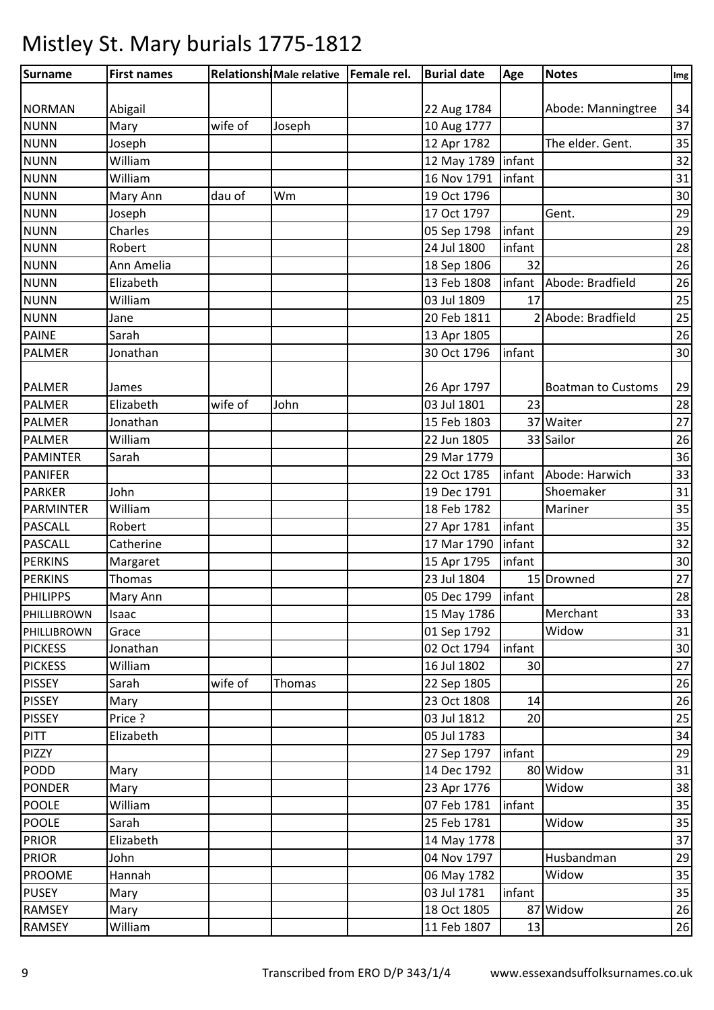| Abigail<br>Abode: Manningtree<br>22 Aug 1784<br>wife of<br>Mary<br>10 Aug 1777<br>Joseph<br>The elder. Gent.<br>Joseph<br>12 Apr 1782<br>infant<br><b>NUNN</b><br>William<br>12 May 1789<br>William<br>16 Nov 1791<br>infant<br><b>NUNN</b><br>19 Oct 1796<br>Wm<br>Mary Ann<br>dau of<br>17 Oct 1797<br>Gent.<br>Joseph<br>infant<br>Charles<br>05 Sep 1798<br>24 Jul 1800<br>infant<br>Robert<br>Ann Amelia<br>18 Sep 1806<br>32<br>Elizabeth<br>Abode: Bradfield<br>13 Feb 1808<br>infant<br>William<br>03 Jul 1809<br>17<br>Abode: Bradfield<br>20 Feb 1811<br>Jane<br>Sarah<br>13 Apr 1805<br>infant<br>Jonathan<br>30 Oct 1796<br><b>PALMER</b><br>26 Apr 1797<br><b>Boatman to Customs</b><br>James<br>Elizabeth<br>wife of<br>John<br>03 Jul 1801<br>23<br>PALMER<br>37 Waiter<br><b>PALMER</b><br>15 Feb 1803<br>Jonathan<br>William<br>22 Jun 1805<br>33 Sailor<br><b>PALMER</b><br><b>PAMINTER</b><br>Sarah<br>29 Mar 1779<br>22 Oct 1785<br>infant<br>Abode: Harwich<br><b>PANIFER</b><br>Shoemaker<br>John<br><b>PARKER</b><br>19 Dec 1791<br><b>PARMINTER</b><br>William<br>18 Feb 1782<br>Mariner<br><b>PASCALL</b><br>Robert<br>infant<br>27 Apr 1781<br><b>PASCALL</b><br>infant<br>Catherine<br>17 Mar 1790<br>infant<br><b>PERKINS</b><br>15 Apr 1795<br>Margaret<br>23 Jul 1804<br><b>PERKINS</b><br>Thomas<br>15 Drowned<br>infant<br><b>PHILIPPS</b><br>Mary Ann<br>05 Dec 1799<br>Merchant<br>15 May 1786<br>Isaac<br>Widow<br>01 Sep 1792<br>Grace<br>02 Oct 1794<br>infant<br>Jonathan<br>16 Jul 1802<br>William<br>30<br>wife of<br>22 Sep 1805<br>Sarah<br>Thomas<br>23 Oct 1808<br>Mary<br>14<br>Price ?<br>03 Jul 1812<br>20<br>05 Jul 1783<br>Elizabeth<br>27 Sep 1797<br>infant<br>14 Dec 1792<br>80 Widow<br>Mary<br>23 Apr 1776<br>Widow<br>Mary<br>William<br>07 Feb 1781<br>infant<br>25 Feb 1781<br>Widow<br>Sarah<br>14 May 1778<br>Elizabeth<br>04 Nov 1797<br>Husbandman<br>John<br>Hannah<br>Widow<br>06 May 1782<br>infant<br>03 Jul 1781<br>Mary<br>18 Oct 1805<br>Widow<br>87<br>Mary<br>William<br>11 Feb 1807<br>13 | Surname        | <b>First names</b> | Relationshi Male relative   Female rel. | <b>Burial date</b> | Age | <b>Notes</b> | Img |
|------------------------------------------------------------------------------------------------------------------------------------------------------------------------------------------------------------------------------------------------------------------------------------------------------------------------------------------------------------------------------------------------------------------------------------------------------------------------------------------------------------------------------------------------------------------------------------------------------------------------------------------------------------------------------------------------------------------------------------------------------------------------------------------------------------------------------------------------------------------------------------------------------------------------------------------------------------------------------------------------------------------------------------------------------------------------------------------------------------------------------------------------------------------------------------------------------------------------------------------------------------------------------------------------------------------------------------------------------------------------------------------------------------------------------------------------------------------------------------------------------------------------------------------------------------------------------------------------------------------------------------------------------------------------------------------------------------------------------------------------------------------------------------------------------------------------------------------------------------------------------------------------------------------------------------------------------------------------------------------------------------------------------------------------------------------|----------------|--------------------|-----------------------------------------|--------------------|-----|--------------|-----|
| 34<br>37<br>35<br>32<br>31<br>30<br>29<br>29<br>28<br>26<br>26<br>25<br>25<br>26<br>30<br>29<br>28<br>27<br>26<br>36<br>33<br>31<br>35<br>35<br>32<br>30<br>27<br>28<br>33<br>31<br>30<br>27<br>26<br>26<br>25<br>34<br>29<br>31<br>38<br>35<br>35<br>37<br>29<br>35<br>35<br>26<br>26                                                                                                                                                                                                                                                                                                                                                                                                                                                                                                                                                                                                                                                                                                                                                                                                                                                                                                                                                                                                                                                                                                                                                                                                                                                                                                                                                                                                                                                                                                                                                                                                                                                                                                                                                                           |                |                    |                                         |                    |     |              |     |
|                                                                                                                                                                                                                                                                                                                                                                                                                                                                                                                                                                                                                                                                                                                                                                                                                                                                                                                                                                                                                                                                                                                                                                                                                                                                                                                                                                                                                                                                                                                                                                                                                                                                                                                                                                                                                                                                                                                                                                                                                                                                  | <b>NORMAN</b>  |                    |                                         |                    |     |              |     |
|                                                                                                                                                                                                                                                                                                                                                                                                                                                                                                                                                                                                                                                                                                                                                                                                                                                                                                                                                                                                                                                                                                                                                                                                                                                                                                                                                                                                                                                                                                                                                                                                                                                                                                                                                                                                                                                                                                                                                                                                                                                                  | <b>NUNN</b>    |                    |                                         |                    |     |              |     |
|                                                                                                                                                                                                                                                                                                                                                                                                                                                                                                                                                                                                                                                                                                                                                                                                                                                                                                                                                                                                                                                                                                                                                                                                                                                                                                                                                                                                                                                                                                                                                                                                                                                                                                                                                                                                                                                                                                                                                                                                                                                                  | <b>NUNN</b>    |                    |                                         |                    |     |              |     |
|                                                                                                                                                                                                                                                                                                                                                                                                                                                                                                                                                                                                                                                                                                                                                                                                                                                                                                                                                                                                                                                                                                                                                                                                                                                                                                                                                                                                                                                                                                                                                                                                                                                                                                                                                                                                                                                                                                                                                                                                                                                                  |                |                    |                                         |                    |     |              |     |
|                                                                                                                                                                                                                                                                                                                                                                                                                                                                                                                                                                                                                                                                                                                                                                                                                                                                                                                                                                                                                                                                                                                                                                                                                                                                                                                                                                                                                                                                                                                                                                                                                                                                                                                                                                                                                                                                                                                                                                                                                                                                  | <b>NUNN</b>    |                    |                                         |                    |     |              |     |
|                                                                                                                                                                                                                                                                                                                                                                                                                                                                                                                                                                                                                                                                                                                                                                                                                                                                                                                                                                                                                                                                                                                                                                                                                                                                                                                                                                                                                                                                                                                                                                                                                                                                                                                                                                                                                                                                                                                                                                                                                                                                  |                |                    |                                         |                    |     |              |     |
|                                                                                                                                                                                                                                                                                                                                                                                                                                                                                                                                                                                                                                                                                                                                                                                                                                                                                                                                                                                                                                                                                                                                                                                                                                                                                                                                                                                                                                                                                                                                                                                                                                                                                                                                                                                                                                                                                                                                                                                                                                                                  | <b>NUNN</b>    |                    |                                         |                    |     |              |     |
|                                                                                                                                                                                                                                                                                                                                                                                                                                                                                                                                                                                                                                                                                                                                                                                                                                                                                                                                                                                                                                                                                                                                                                                                                                                                                                                                                                                                                                                                                                                                                                                                                                                                                                                                                                                                                                                                                                                                                                                                                                                                  | <b>NUNN</b>    |                    |                                         |                    |     |              |     |
|                                                                                                                                                                                                                                                                                                                                                                                                                                                                                                                                                                                                                                                                                                                                                                                                                                                                                                                                                                                                                                                                                                                                                                                                                                                                                                                                                                                                                                                                                                                                                                                                                                                                                                                                                                                                                                                                                                                                                                                                                                                                  | <b>NUNN</b>    |                    |                                         |                    |     |              |     |
|                                                                                                                                                                                                                                                                                                                                                                                                                                                                                                                                                                                                                                                                                                                                                                                                                                                                                                                                                                                                                                                                                                                                                                                                                                                                                                                                                                                                                                                                                                                                                                                                                                                                                                                                                                                                                                                                                                                                                                                                                                                                  | <b>NUNN</b>    |                    |                                         |                    |     |              |     |
|                                                                                                                                                                                                                                                                                                                                                                                                                                                                                                                                                                                                                                                                                                                                                                                                                                                                                                                                                                                                                                                                                                                                                                                                                                                                                                                                                                                                                                                                                                                                                                                                                                                                                                                                                                                                                                                                                                                                                                                                                                                                  | <b>NUNN</b>    |                    |                                         |                    |     |              |     |
|                                                                                                                                                                                                                                                                                                                                                                                                                                                                                                                                                                                                                                                                                                                                                                                                                                                                                                                                                                                                                                                                                                                                                                                                                                                                                                                                                                                                                                                                                                                                                                                                                                                                                                                                                                                                                                                                                                                                                                                                                                                                  | <b>NUNN</b>    |                    |                                         |                    |     |              |     |
|                                                                                                                                                                                                                                                                                                                                                                                                                                                                                                                                                                                                                                                                                                                                                                                                                                                                                                                                                                                                                                                                                                                                                                                                                                                                                                                                                                                                                                                                                                                                                                                                                                                                                                                                                                                                                                                                                                                                                                                                                                                                  | <b>NUNN</b>    |                    |                                         |                    |     |              |     |
|                                                                                                                                                                                                                                                                                                                                                                                                                                                                                                                                                                                                                                                                                                                                                                                                                                                                                                                                                                                                                                                                                                                                                                                                                                                                                                                                                                                                                                                                                                                                                                                                                                                                                                                                                                                                                                                                                                                                                                                                                                                                  | <b>PAINE</b>   |                    |                                         |                    |     |              |     |
|                                                                                                                                                                                                                                                                                                                                                                                                                                                                                                                                                                                                                                                                                                                                                                                                                                                                                                                                                                                                                                                                                                                                                                                                                                                                                                                                                                                                                                                                                                                                                                                                                                                                                                                                                                                                                                                                                                                                                                                                                                                                  | <b>PALMER</b>  |                    |                                         |                    |     |              |     |
|                                                                                                                                                                                                                                                                                                                                                                                                                                                                                                                                                                                                                                                                                                                                                                                                                                                                                                                                                                                                                                                                                                                                                                                                                                                                                                                                                                                                                                                                                                                                                                                                                                                                                                                                                                                                                                                                                                                                                                                                                                                                  |                |                    |                                         |                    |     |              |     |
|                                                                                                                                                                                                                                                                                                                                                                                                                                                                                                                                                                                                                                                                                                                                                                                                                                                                                                                                                                                                                                                                                                                                                                                                                                                                                                                                                                                                                                                                                                                                                                                                                                                                                                                                                                                                                                                                                                                                                                                                                                                                  |                |                    |                                         |                    |     |              |     |
|                                                                                                                                                                                                                                                                                                                                                                                                                                                                                                                                                                                                                                                                                                                                                                                                                                                                                                                                                                                                                                                                                                                                                                                                                                                                                                                                                                                                                                                                                                                                                                                                                                                                                                                                                                                                                                                                                                                                                                                                                                                                  |                |                    |                                         |                    |     |              |     |
|                                                                                                                                                                                                                                                                                                                                                                                                                                                                                                                                                                                                                                                                                                                                                                                                                                                                                                                                                                                                                                                                                                                                                                                                                                                                                                                                                                                                                                                                                                                                                                                                                                                                                                                                                                                                                                                                                                                                                                                                                                                                  |                |                    |                                         |                    |     |              |     |
|                                                                                                                                                                                                                                                                                                                                                                                                                                                                                                                                                                                                                                                                                                                                                                                                                                                                                                                                                                                                                                                                                                                                                                                                                                                                                                                                                                                                                                                                                                                                                                                                                                                                                                                                                                                                                                                                                                                                                                                                                                                                  |                |                    |                                         |                    |     |              |     |
|                                                                                                                                                                                                                                                                                                                                                                                                                                                                                                                                                                                                                                                                                                                                                                                                                                                                                                                                                                                                                                                                                                                                                                                                                                                                                                                                                                                                                                                                                                                                                                                                                                                                                                                                                                                                                                                                                                                                                                                                                                                                  |                |                    |                                         |                    |     |              |     |
|                                                                                                                                                                                                                                                                                                                                                                                                                                                                                                                                                                                                                                                                                                                                                                                                                                                                                                                                                                                                                                                                                                                                                                                                                                                                                                                                                                                                                                                                                                                                                                                                                                                                                                                                                                                                                                                                                                                                                                                                                                                                  |                |                    |                                         |                    |     |              |     |
|                                                                                                                                                                                                                                                                                                                                                                                                                                                                                                                                                                                                                                                                                                                                                                                                                                                                                                                                                                                                                                                                                                                                                                                                                                                                                                                                                                                                                                                                                                                                                                                                                                                                                                                                                                                                                                                                                                                                                                                                                                                                  |                |                    |                                         |                    |     |              |     |
|                                                                                                                                                                                                                                                                                                                                                                                                                                                                                                                                                                                                                                                                                                                                                                                                                                                                                                                                                                                                                                                                                                                                                                                                                                                                                                                                                                                                                                                                                                                                                                                                                                                                                                                                                                                                                                                                                                                                                                                                                                                                  |                |                    |                                         |                    |     |              |     |
|                                                                                                                                                                                                                                                                                                                                                                                                                                                                                                                                                                                                                                                                                                                                                                                                                                                                                                                                                                                                                                                                                                                                                                                                                                                                                                                                                                                                                                                                                                                                                                                                                                                                                                                                                                                                                                                                                                                                                                                                                                                                  |                |                    |                                         |                    |     |              |     |
|                                                                                                                                                                                                                                                                                                                                                                                                                                                                                                                                                                                                                                                                                                                                                                                                                                                                                                                                                                                                                                                                                                                                                                                                                                                                                                                                                                                                                                                                                                                                                                                                                                                                                                                                                                                                                                                                                                                                                                                                                                                                  |                |                    |                                         |                    |     |              |     |
|                                                                                                                                                                                                                                                                                                                                                                                                                                                                                                                                                                                                                                                                                                                                                                                                                                                                                                                                                                                                                                                                                                                                                                                                                                                                                                                                                                                                                                                                                                                                                                                                                                                                                                                                                                                                                                                                                                                                                                                                                                                                  |                |                    |                                         |                    |     |              |     |
|                                                                                                                                                                                                                                                                                                                                                                                                                                                                                                                                                                                                                                                                                                                                                                                                                                                                                                                                                                                                                                                                                                                                                                                                                                                                                                                                                                                                                                                                                                                                                                                                                                                                                                                                                                                                                                                                                                                                                                                                                                                                  |                |                    |                                         |                    |     |              |     |
|                                                                                                                                                                                                                                                                                                                                                                                                                                                                                                                                                                                                                                                                                                                                                                                                                                                                                                                                                                                                                                                                                                                                                                                                                                                                                                                                                                                                                                                                                                                                                                                                                                                                                                                                                                                                                                                                                                                                                                                                                                                                  |                |                    |                                         |                    |     |              |     |
|                                                                                                                                                                                                                                                                                                                                                                                                                                                                                                                                                                                                                                                                                                                                                                                                                                                                                                                                                                                                                                                                                                                                                                                                                                                                                                                                                                                                                                                                                                                                                                                                                                                                                                                                                                                                                                                                                                                                                                                                                                                                  | PHILLIBROWN    |                    |                                         |                    |     |              |     |
|                                                                                                                                                                                                                                                                                                                                                                                                                                                                                                                                                                                                                                                                                                                                                                                                                                                                                                                                                                                                                                                                                                                                                                                                                                                                                                                                                                                                                                                                                                                                                                                                                                                                                                                                                                                                                                                                                                                                                                                                                                                                  | PHILLIBROWN    |                    |                                         |                    |     |              |     |
|                                                                                                                                                                                                                                                                                                                                                                                                                                                                                                                                                                                                                                                                                                                                                                                                                                                                                                                                                                                                                                                                                                                                                                                                                                                                                                                                                                                                                                                                                                                                                                                                                                                                                                                                                                                                                                                                                                                                                                                                                                                                  | <b>PICKESS</b> |                    |                                         |                    |     |              |     |
|                                                                                                                                                                                                                                                                                                                                                                                                                                                                                                                                                                                                                                                                                                                                                                                                                                                                                                                                                                                                                                                                                                                                                                                                                                                                                                                                                                                                                                                                                                                                                                                                                                                                                                                                                                                                                                                                                                                                                                                                                                                                  | <b>PICKESS</b> |                    |                                         |                    |     |              |     |
|                                                                                                                                                                                                                                                                                                                                                                                                                                                                                                                                                                                                                                                                                                                                                                                                                                                                                                                                                                                                                                                                                                                                                                                                                                                                                                                                                                                                                                                                                                                                                                                                                                                                                                                                                                                                                                                                                                                                                                                                                                                                  | <b>PISSEY</b>  |                    |                                         |                    |     |              |     |
|                                                                                                                                                                                                                                                                                                                                                                                                                                                                                                                                                                                                                                                                                                                                                                                                                                                                                                                                                                                                                                                                                                                                                                                                                                                                                                                                                                                                                                                                                                                                                                                                                                                                                                                                                                                                                                                                                                                                                                                                                                                                  | <b>PISSEY</b>  |                    |                                         |                    |     |              |     |
|                                                                                                                                                                                                                                                                                                                                                                                                                                                                                                                                                                                                                                                                                                                                                                                                                                                                                                                                                                                                                                                                                                                                                                                                                                                                                                                                                                                                                                                                                                                                                                                                                                                                                                                                                                                                                                                                                                                                                                                                                                                                  | <b>PISSEY</b>  |                    |                                         |                    |     |              |     |
|                                                                                                                                                                                                                                                                                                                                                                                                                                                                                                                                                                                                                                                                                                                                                                                                                                                                                                                                                                                                                                                                                                                                                                                                                                                                                                                                                                                                                                                                                                                                                                                                                                                                                                                                                                                                                                                                                                                                                                                                                                                                  | <b>PITT</b>    |                    |                                         |                    |     |              |     |
|                                                                                                                                                                                                                                                                                                                                                                                                                                                                                                                                                                                                                                                                                                                                                                                                                                                                                                                                                                                                                                                                                                                                                                                                                                                                                                                                                                                                                                                                                                                                                                                                                                                                                                                                                                                                                                                                                                                                                                                                                                                                  | PIZZY          |                    |                                         |                    |     |              |     |
|                                                                                                                                                                                                                                                                                                                                                                                                                                                                                                                                                                                                                                                                                                                                                                                                                                                                                                                                                                                                                                                                                                                                                                                                                                                                                                                                                                                                                                                                                                                                                                                                                                                                                                                                                                                                                                                                                                                                                                                                                                                                  | PODD           |                    |                                         |                    |     |              |     |
|                                                                                                                                                                                                                                                                                                                                                                                                                                                                                                                                                                                                                                                                                                                                                                                                                                                                                                                                                                                                                                                                                                                                                                                                                                                                                                                                                                                                                                                                                                                                                                                                                                                                                                                                                                                                                                                                                                                                                                                                                                                                  | <b>PONDER</b>  |                    |                                         |                    |     |              |     |
|                                                                                                                                                                                                                                                                                                                                                                                                                                                                                                                                                                                                                                                                                                                                                                                                                                                                                                                                                                                                                                                                                                                                                                                                                                                                                                                                                                                                                                                                                                                                                                                                                                                                                                                                                                                                                                                                                                                                                                                                                                                                  | <b>POOLE</b>   |                    |                                         |                    |     |              |     |
|                                                                                                                                                                                                                                                                                                                                                                                                                                                                                                                                                                                                                                                                                                                                                                                                                                                                                                                                                                                                                                                                                                                                                                                                                                                                                                                                                                                                                                                                                                                                                                                                                                                                                                                                                                                                                                                                                                                                                                                                                                                                  | <b>POOLE</b>   |                    |                                         |                    |     |              |     |
|                                                                                                                                                                                                                                                                                                                                                                                                                                                                                                                                                                                                                                                                                                                                                                                                                                                                                                                                                                                                                                                                                                                                                                                                                                                                                                                                                                                                                                                                                                                                                                                                                                                                                                                                                                                                                                                                                                                                                                                                                                                                  | <b>PRIOR</b>   |                    |                                         |                    |     |              |     |
|                                                                                                                                                                                                                                                                                                                                                                                                                                                                                                                                                                                                                                                                                                                                                                                                                                                                                                                                                                                                                                                                                                                                                                                                                                                                                                                                                                                                                                                                                                                                                                                                                                                                                                                                                                                                                                                                                                                                                                                                                                                                  | <b>PRIOR</b>   |                    |                                         |                    |     |              |     |
|                                                                                                                                                                                                                                                                                                                                                                                                                                                                                                                                                                                                                                                                                                                                                                                                                                                                                                                                                                                                                                                                                                                                                                                                                                                                                                                                                                                                                                                                                                                                                                                                                                                                                                                                                                                                                                                                                                                                                                                                                                                                  | <b>PROOME</b>  |                    |                                         |                    |     |              |     |
|                                                                                                                                                                                                                                                                                                                                                                                                                                                                                                                                                                                                                                                                                                                                                                                                                                                                                                                                                                                                                                                                                                                                                                                                                                                                                                                                                                                                                                                                                                                                                                                                                                                                                                                                                                                                                                                                                                                                                                                                                                                                  | <b>PUSEY</b>   |                    |                                         |                    |     |              |     |
|                                                                                                                                                                                                                                                                                                                                                                                                                                                                                                                                                                                                                                                                                                                                                                                                                                                                                                                                                                                                                                                                                                                                                                                                                                                                                                                                                                                                                                                                                                                                                                                                                                                                                                                                                                                                                                                                                                                                                                                                                                                                  | <b>RAMSEY</b>  |                    |                                         |                    |     |              |     |
|                                                                                                                                                                                                                                                                                                                                                                                                                                                                                                                                                                                                                                                                                                                                                                                                                                                                                                                                                                                                                                                                                                                                                                                                                                                                                                                                                                                                                                                                                                                                                                                                                                                                                                                                                                                                                                                                                                                                                                                                                                                                  | <b>RAMSEY</b>  |                    |                                         |                    |     |              |     |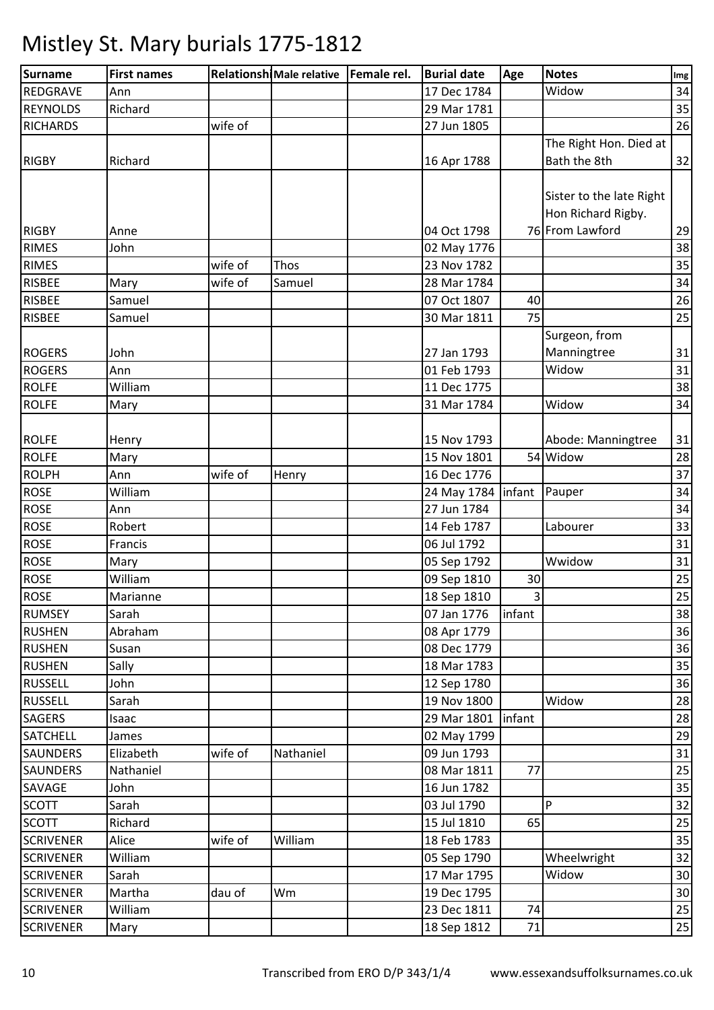| Surname          | <b>First names</b> |         | Relationshi Male relative   Female rel. | <b>Burial date</b>   | Age                     | <b>Notes</b>             | Img       |
|------------------|--------------------|---------|-----------------------------------------|----------------------|-------------------------|--------------------------|-----------|
| <b>REDGRAVE</b>  | Ann                |         |                                         | 17 Dec 1784          |                         | Widow                    | 34        |
| <b>REYNOLDS</b>  | Richard            |         |                                         | 29 Mar 1781          |                         |                          | 35        |
| <b>RICHARDS</b>  |                    | wife of |                                         | 27 Jun 1805          |                         |                          | 26        |
|                  |                    |         |                                         |                      |                         | The Right Hon. Died at   |           |
| <b>RIGBY</b>     | Richard            |         |                                         | 16 Apr 1788          |                         | Bath the 8th             | 32        |
|                  |                    |         |                                         |                      |                         |                          |           |
|                  |                    |         |                                         |                      |                         | Sister to the late Right |           |
|                  |                    |         |                                         |                      |                         | Hon Richard Rigby.       |           |
| <b>RIGBY</b>     | Anne               |         |                                         | 04 Oct 1798          |                         | 76 From Lawford          | 29        |
| <b>RIMES</b>     | John               |         |                                         | 02 May 1776          |                         |                          | 38        |
| <b>RIMES</b>     |                    | wife of | Thos                                    | 23 Nov 1782          |                         |                          | 35        |
| <b>RISBEE</b>    | Mary               | wife of | Samuel                                  | 28 Mar 1784          |                         |                          | 34        |
| <b>RISBEE</b>    | Samuel             |         |                                         | 07 Oct 1807          | 40                      |                          | 26        |
| <b>RISBEE</b>    | Samuel             |         |                                         | 30 Mar 1811          | 75                      |                          | 25        |
|                  |                    |         |                                         |                      |                         | Surgeon, from            |           |
| <b>ROGERS</b>    | John               |         |                                         | 27 Jan 1793          |                         | Manningtree              | 31        |
| <b>ROGERS</b>    | Ann                |         |                                         | 01 Feb 1793          |                         | Widow                    | 31        |
| <b>ROLFE</b>     | William            |         |                                         | 11 Dec 1775          |                         |                          | 38        |
| <b>ROLFE</b>     | Mary               |         |                                         | 31 Mar 1784          |                         | Widow                    | 34        |
|                  |                    |         |                                         |                      |                         |                          |           |
| <b>ROLFE</b>     | Henry              |         |                                         | 15 Nov 1793          |                         | Abode: Manningtree       | 31        |
| <b>ROLFE</b>     | Mary               |         |                                         | 15 Nov 1801          |                         | 54 Widow                 | 28        |
| <b>ROLPH</b>     | Ann                | wife of | Henry                                   | 16 Dec 1776          |                         |                          | 37        |
| <b>ROSE</b>      | William            |         |                                         | 24 May 1784   infant |                         | Pauper                   | 34        |
| <b>ROSE</b>      | Ann                |         |                                         | 27 Jun 1784          |                         |                          | 34        |
| <b>ROSE</b>      | Robert             |         |                                         | 14 Feb 1787          |                         | Labourer                 | 33        |
| <b>ROSE</b>      | Francis            |         |                                         | 06 Jul 1792          |                         |                          | 31        |
| <b>ROSE</b>      | Mary               |         |                                         | 05 Sep 1792          |                         | Wwidow                   | 31        |
| <b>ROSE</b>      | William            |         |                                         | 09 Sep 1810          | 30                      |                          | 25        |
| <b>ROSE</b>      | Marianne           |         |                                         | 18 Sep 1810          | $\overline{\mathbf{3}}$ |                          | 25        |
| <b>RUMSEY</b>    | Sarah              |         |                                         | 07 Jan 1776          | infant                  |                          | 38        |
| <b>RUSHEN</b>    | Abraham            |         |                                         | 08 Apr 1779          |                         |                          | 36        |
| <b>RUSHEN</b>    | Susan              |         |                                         | 08 Dec 1779          |                         |                          | 36        |
| <b>RUSHEN</b>    | Sally              |         |                                         | 18 Mar 1783          |                         |                          | 35        |
| <b>RUSSELL</b>   | John               |         |                                         | 12 Sep 1780          |                         |                          | 36        |
| <b>RUSSELL</b>   | Sarah              |         |                                         | 19 Nov 1800          |                         | Widow                    | 28        |
| <b>SAGERS</b>    | Isaac              |         |                                         | 29 Mar 1801          | infant                  |                          | 28        |
| <b>SATCHELL</b>  | James              |         |                                         | 02 May 1799          |                         |                          | 29        |
| <b>SAUNDERS</b>  | Elizabeth          | wife of | Nathaniel                               | 09 Jun 1793          |                         |                          | 31        |
| <b>SAUNDERS</b>  | Nathaniel          |         |                                         | 08 Mar 1811          | 77                      |                          | 25        |
| SAVAGE           | John               |         |                                         | 16 Jun 1782          |                         |                          | 35        |
| <b>SCOTT</b>     | Sarah              |         |                                         | 03 Jul 1790          |                         | P                        | 32        |
| <b>SCOTT</b>     | Richard            |         |                                         | 15 Jul 1810          | 65                      |                          | 25        |
| <b>SCRIVENER</b> | Alice              | wife of | William                                 | 18 Feb 1783          |                         |                          | 35        |
| <b>SCRIVENER</b> | William            |         |                                         | 05 Sep 1790          |                         | Wheelwright              | 32        |
| <b>SCRIVENER</b> | Sarah              |         |                                         | 17 Mar 1795          |                         | Widow                    | 30        |
| <b>SCRIVENER</b> | Martha             | dau of  | Wm                                      | 19 Dec 1795          |                         |                          | 30        |
| <b>SCRIVENER</b> | William            |         |                                         | 23 Dec 1811          | 74                      |                          | 25        |
| <b>SCRIVENER</b> | Mary               |         |                                         | 18 Sep 1812          | 71                      |                          | <b>25</b> |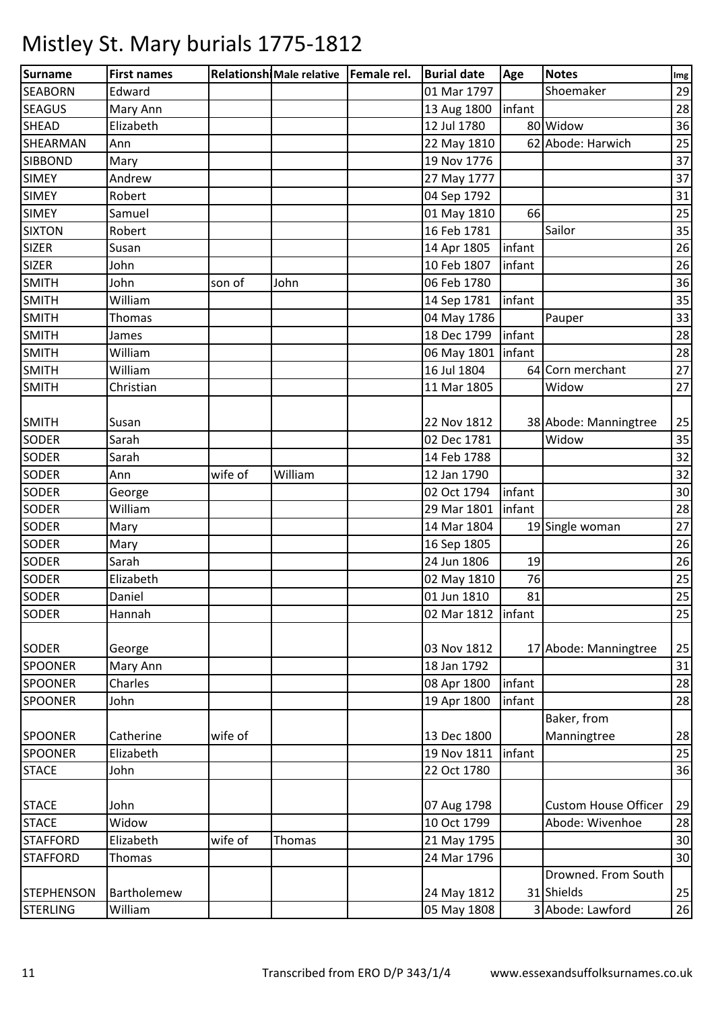| <b>Surname</b>    | <b>First names</b> |         | Relationshi Male relative   Female rel. | <b>Burial date</b>   | Age    | <b>Notes</b>                | Img |
|-------------------|--------------------|---------|-----------------------------------------|----------------------|--------|-----------------------------|-----|
| <b>SEABORN</b>    | Edward             |         |                                         | 01 Mar 1797          |        | Shoemaker                   | 29  |
| <b>SEAGUS</b>     | Mary Ann           |         |                                         | 13 Aug 1800          | infant |                             | 28  |
| <b>SHEAD</b>      | Elizabeth          |         |                                         | 12 Jul 1780          |        | 80 Widow                    | 36  |
| SHEARMAN          | Ann                |         |                                         | 22 May 1810          |        | 62 Abode: Harwich           | 25  |
| <b>SIBBOND</b>    | Mary               |         |                                         | 19 Nov 1776          |        |                             | 37  |
| <b>SIMEY</b>      | Andrew             |         |                                         | 27 May 1777          |        |                             | 37  |
| <b>SIMEY</b>      | Robert             |         |                                         | 04 Sep 1792          |        |                             | 31  |
| <b>SIMEY</b>      | Samuel             |         |                                         | 01 May 1810          | 66     |                             | 25  |
| <b>SIXTON</b>     | Robert             |         |                                         | 16 Feb 1781          |        | Sailor                      | 35  |
| <b>SIZER</b>      | Susan              |         |                                         | 14 Apr 1805          | infant |                             | 26  |
| <b>SIZER</b>      | John               |         |                                         | 10 Feb 1807          | infant |                             | 26  |
| <b>SMITH</b>      | John               | son of  | John                                    | 06 Feb 1780          |        |                             | 36  |
| <b>SMITH</b>      | William            |         |                                         | 14 Sep 1781          | infant |                             | 35  |
| <b>SMITH</b>      | Thomas             |         |                                         | 04 May 1786          |        | Pauper                      | 33  |
| <b>SMITH</b>      | James              |         |                                         | 18 Dec 1799          | infant |                             | 28  |
| <b>SMITH</b>      | William            |         |                                         | 06 May 1801   infant |        |                             | 28  |
| <b>SMITH</b>      | William            |         |                                         | 16 Jul 1804          |        | 64 Corn merchant            | 27  |
| <b>SMITH</b>      | Christian          |         |                                         | 11 Mar 1805          |        | Widow                       | 27  |
|                   |                    |         |                                         |                      |        |                             |     |
| <b>SMITH</b>      | Susan              |         |                                         | 22 Nov 1812          |        | 38 Abode: Manningtree       | 25  |
| <b>SODER</b>      | Sarah              |         |                                         | 02 Dec 1781          |        | Widow                       | 35  |
| <b>SODER</b>      | Sarah              |         |                                         | 14 Feb 1788          |        |                             | 32  |
| <b>SODER</b>      | Ann                | wife of | William                                 | 12 Jan 1790          |        |                             | 32  |
| <b>SODER</b>      | George             |         |                                         | 02 Oct 1794          | infant |                             | 30  |
| <b>SODER</b>      | William            |         |                                         | 29 Mar 1801          | infant |                             | 28  |
| <b>SODER</b>      | Mary               |         |                                         | 14 Mar 1804          |        | 19 Single woman             | 27  |
| <b>SODER</b>      | Mary               |         |                                         | 16 Sep 1805          |        |                             | 26  |
| <b>SODER</b>      | Sarah              |         |                                         | 24 Jun 1806          | 19     |                             | 26  |
| <b>SODER</b>      | Elizabeth          |         |                                         | 02 May 1810          | 76     |                             | 25  |
| <b>SODER</b>      | Daniel             |         |                                         | 01 Jun 1810          | 81     |                             | 25  |
| <b>SODER</b>      | Hannah             |         |                                         | 02 Mar 1812          | infant |                             | 25  |
|                   |                    |         |                                         |                      |        |                             |     |
| <b>SODER</b>      | George             |         |                                         | 03 Nov 1812          |        | 17 Abode: Manningtree       | 25  |
| <b>SPOONER</b>    | Mary Ann           |         |                                         | 18 Jan 1792          |        |                             | 31  |
| <b>SPOONER</b>    | Charles            |         |                                         | 08 Apr 1800          | infant |                             | 28  |
| <b>SPOONER</b>    | John               |         |                                         | 19 Apr 1800          | infant |                             | 28  |
|                   |                    |         |                                         |                      |        | Baker, from                 |     |
| <b>SPOONER</b>    | Catherine          | wife of |                                         | 13 Dec 1800          |        | Manningtree                 | 28  |
| <b>SPOONER</b>    | Elizabeth          |         |                                         | 19 Nov 1811          | infant |                             | 25  |
| <b>STACE</b>      | John               |         |                                         | 22 Oct 1780          |        |                             | 36  |
|                   |                    |         |                                         |                      |        |                             |     |
| <b>STACE</b>      | John               |         |                                         | 07 Aug 1798          |        | <b>Custom House Officer</b> | 29  |
| <b>STACE</b>      | Widow              |         |                                         | 10 Oct 1799          |        | Abode: Wivenhoe             | 28  |
| <b>STAFFORD</b>   | Elizabeth          | wife of | Thomas                                  | 21 May 1795          |        |                             | 30  |
| <b>STAFFORD</b>   | Thomas             |         |                                         | 24 Mar 1796          |        |                             | 30  |
|                   |                    |         |                                         |                      |        | Drowned. From South         |     |
| <b>STEPHENSON</b> | Bartholemew        |         |                                         | 24 May 1812          |        | 31 Shields                  | 25  |
| <b>STERLING</b>   | William            |         |                                         | 05 May 1808          |        | 3 Abode: Lawford            | 26  |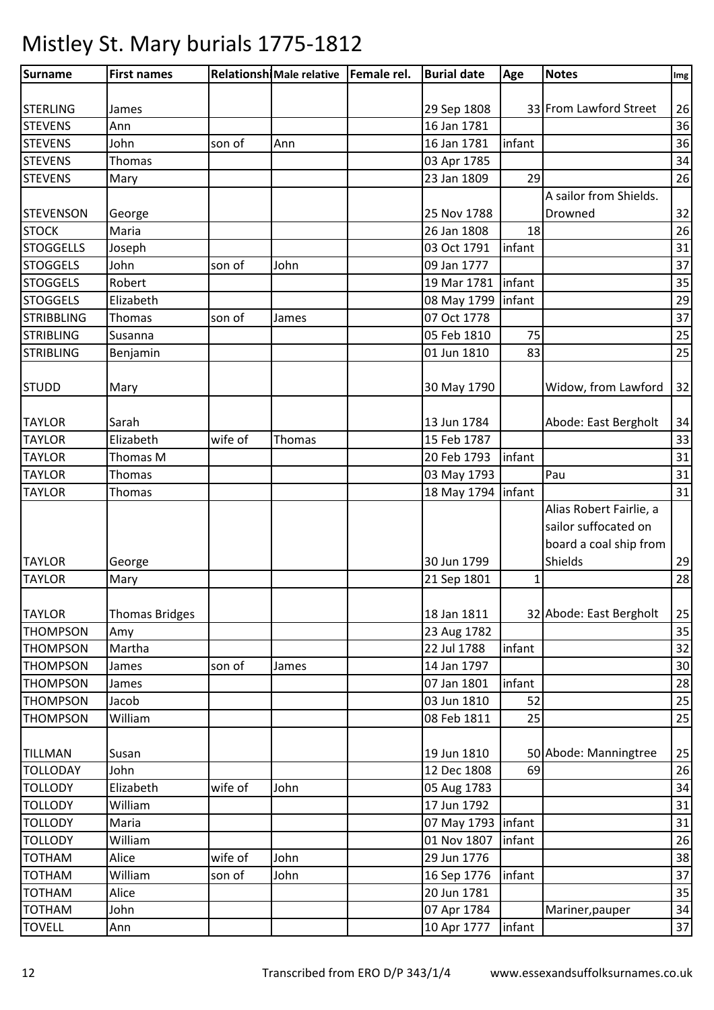| Surname           | <b>First names</b>    |         | Relationshi Male relative   Female rel. | <b>Burial date</b>  | Age    | <b>Notes</b>                                                              | Img |
|-------------------|-----------------------|---------|-----------------------------------------|---------------------|--------|---------------------------------------------------------------------------|-----|
|                   |                       |         |                                         |                     |        |                                                                           |     |
| <b>STERLING</b>   | James                 |         |                                         | 29 Sep 1808         |        | 33 From Lawford Street                                                    | 26  |
| <b>STEVENS</b>    | Ann                   |         |                                         | 16 Jan 1781         |        |                                                                           | 36  |
| <b>STEVENS</b>    | John                  | son of  | Ann                                     | 16 Jan 1781         | infant |                                                                           | 36  |
| <b>STEVENS</b>    | <b>Thomas</b>         |         |                                         | 03 Apr 1785         |        |                                                                           | 34  |
| <b>STEVENS</b>    | Mary                  |         |                                         | 23 Jan 1809         | 29     |                                                                           | 26  |
|                   |                       |         |                                         |                     |        | A sailor from Shields.                                                    |     |
| <b>STEVENSON</b>  | George                |         |                                         | 25 Nov 1788         |        | Drowned                                                                   | 32  |
| <b>STOCK</b>      | Maria                 |         |                                         | 26 Jan 1808         | 18     |                                                                           | 26  |
| <b>STOGGELLS</b>  | Joseph                |         |                                         | 03 Oct 1791         | infant |                                                                           | 31  |
| <b>STOGGELS</b>   | John                  | son of  | John                                    | 09 Jan 1777         |        |                                                                           | 37  |
| <b>STOGGELS</b>   | Robert                |         |                                         | 19 Mar 1781         | infant |                                                                           | 35  |
| <b>STOGGELS</b>   | Elizabeth             |         |                                         | 08 May 1799         | infant |                                                                           | 29  |
| <b>STRIBBLING</b> | <b>Thomas</b>         | son of  | James                                   | 07 Oct 1778         |        |                                                                           | 37  |
| <b>STRIBLING</b>  | Susanna               |         |                                         | 05 Feb 1810         | 75     |                                                                           | 25  |
| <b>STRIBLING</b>  | Benjamin              |         |                                         | 01 Jun 1810         | 83     |                                                                           | 25  |
| <b>STUDD</b>      | Mary                  |         |                                         | 30 May 1790         |        | Widow, from Lawford                                                       | 32  |
| <b>TAYLOR</b>     | Sarah                 |         |                                         | 13 Jun 1784         |        | Abode: East Bergholt                                                      | 34  |
| <b>TAYLOR</b>     | Elizabeth             | wife of | Thomas                                  | 15 Feb 1787         |        |                                                                           | 33  |
| <b>TAYLOR</b>     | Thomas M              |         |                                         | 20 Feb 1793         | infant |                                                                           | 31  |
| <b>TAYLOR</b>     | <b>Thomas</b>         |         |                                         | 03 May 1793         |        | Pau                                                                       | 31  |
| <b>TAYLOR</b>     | Thomas                |         |                                         | 18 May 1794         | infant |                                                                           | 31  |
|                   |                       |         |                                         |                     |        | Alias Robert Fairlie, a<br>sailor suffocated on<br>board a coal ship from |     |
| <b>TAYLOR</b>     | George                |         |                                         | 30 Jun 1799         |        | Shields                                                                   | 29  |
| <b>TAYLOR</b>     | Mary                  |         |                                         | 21 Sep 1801         | 1      |                                                                           | 28  |
| <b>TAYLOR</b>     | <b>Thomas Bridges</b> |         |                                         | 18 Jan 1811         |        | 32 Abode: East Bergholt                                                   | 25  |
| <b>THOMPSON</b>   | Amy                   |         |                                         | 23 Aug 1782         |        |                                                                           | 35  |
| <b>THOMPSON</b>   | Martha                |         |                                         | 22 Jul 1788         | infant |                                                                           | 32  |
| <b>THOMPSON</b>   | James                 | son of  | James                                   | 14 Jan 1797         |        |                                                                           | 30  |
| <b>THOMPSON</b>   | James                 |         |                                         | 07 Jan 1801         | infant |                                                                           | 28  |
| <b>THOMPSON</b>   | Jacob                 |         |                                         | 03 Jun 1810         | 52     |                                                                           | 25  |
| <b>THOMPSON</b>   | William               |         |                                         | 08 Feb 1811         | 25     |                                                                           | 25  |
| <b>TILLMAN</b>    | Susan                 |         |                                         | 19 Jun 1810         |        | 50 Abode: Manningtree                                                     | 25  |
| <b>TOLLODAY</b>   | John                  |         |                                         | 12 Dec 1808         | 69     |                                                                           | 26  |
| <b>TOLLODY</b>    | Elizabeth             | wife of | John                                    | 05 Aug 1783         |        |                                                                           | 34  |
| <b>TOLLODY</b>    | William               |         |                                         | 17 Jun 1792         |        |                                                                           | 31  |
| <b>TOLLODY</b>    | Maria                 |         |                                         | 07 May 1793 linfant |        |                                                                           | 31  |
| <b>TOLLODY</b>    | William               |         |                                         | 01 Nov 1807         | infant |                                                                           | 26  |
| <b>TOTHAM</b>     | Alice                 | wife of | John                                    | 29 Jun 1776         |        |                                                                           | 38  |
| <b>TOTHAM</b>     | William               | son of  | John                                    | 16 Sep 1776         | infant |                                                                           | 37  |
| <b>TOTHAM</b>     | Alice                 |         |                                         | 20 Jun 1781         |        |                                                                           | 35  |
| <b>TOTHAM</b>     | John                  |         |                                         | 07 Apr 1784         |        | Mariner, pauper                                                           | 34  |
| <b>TOVELL</b>     | Ann                   |         |                                         | 10 Apr 1777         | infant |                                                                           | 37  |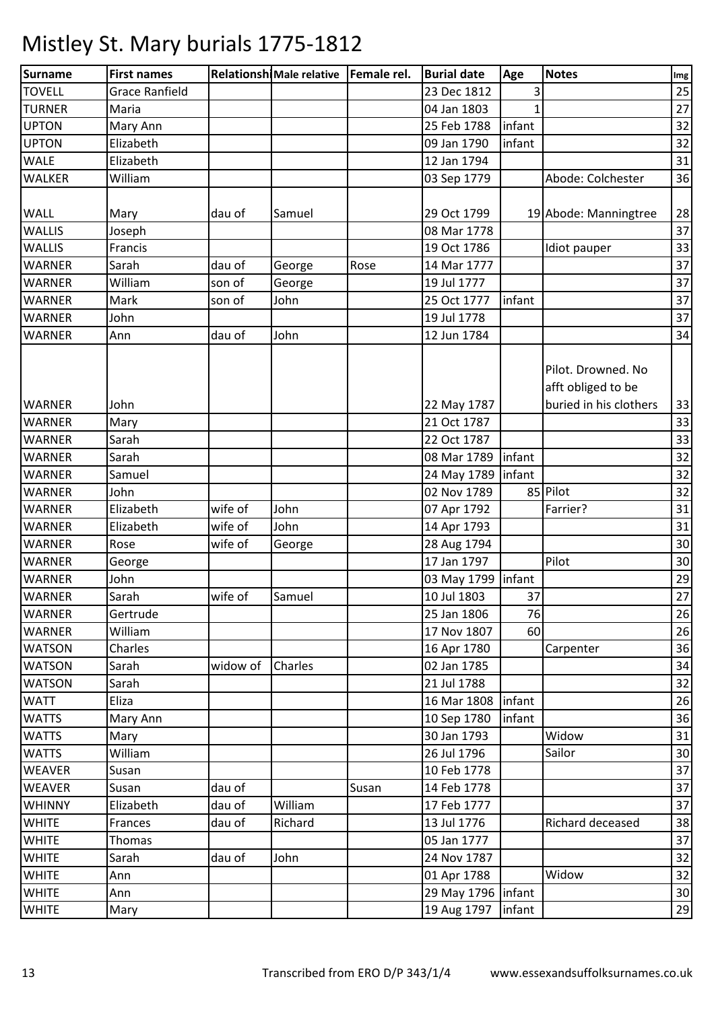| 25<br><b>TOVELL</b><br><b>Grace Ranfield</b><br>23 Dec 1812<br><b>TURNER</b><br>04 Jan 1803<br>27<br>Maria<br><b>UPTON</b><br>25 Feb 1788<br>32<br>infant<br>Mary Ann<br>infant<br>32<br><b>UPTON</b><br>Elizabeth<br>09 Jan 1790<br><b>WALE</b><br>Elizabeth<br>12 Jan 1794<br>31<br>Abode: Colchester<br><b>WALKER</b><br>36<br>William<br>03 Sep 1779<br>28<br>19 Abode: Manningtree<br>dau of<br>Samuel<br>29 Oct 1799<br>Mary<br>37<br><b>WALLIS</b><br>08 Mar 1778<br>Joseph<br><b>WALLIS</b><br>33<br>19 Oct 1786<br>Francis<br>Idiot pauper<br><b>WARNER</b><br>dau of<br>14 Mar 1777<br>37<br>Sarah<br>George<br>Rose<br><b>WARNER</b><br>William<br>19 Jul 1777<br>37<br>son of<br>George<br>infant<br>37<br>Mark<br>son of<br>John<br>25 Oct 1777<br>19 Jul 1778<br>37<br>WARNER<br>John<br>John<br>12 Jun 1784<br>dau of<br>34<br>Ann<br>Pilot. Drowned. No<br>afft obliged to be<br>buried in his clothers<br><b>WARNER</b><br>John<br>22 May 1787<br>33<br>21 Oct 1787<br><b>WARNER</b><br>Mary<br><b>WARNER</b><br>22 Oct 1787<br>33<br>Sarah<br><b>WARNER</b><br>Sarah<br>08 Mar 1789<br>infant<br>infant<br><b>WARNER</b><br>Samuel<br>24 May 1789<br>02 Nov 1789<br>85 Pilot<br><b>WARNER</b><br>John<br>wife of<br>Elizabeth<br>John<br>WARNER<br>07 Apr 1792<br>Farrier?<br><b>WARNER</b><br>Elizabeth<br>wife of<br>John<br>14 Apr 1793<br><b>WARNER</b><br>wife of<br>28 Aug 1794<br>Rose<br>George<br>Pilot<br>17 Jan 1797<br><b>WARNER</b><br>George<br><b>WARNER</b><br>John<br>03 May 1799   infant<br>Sarah<br>wife of<br>37<br><b>WARNER</b><br>Samuel<br>10 Jul 1803<br>76<br><b>WARNER</b><br>Gertrude<br>25 Jan 1806<br>17 Nov 1807<br>60<br><b>WARNER</b><br>William<br><b>WATSON</b><br>Charles<br>16 Apr 1780<br>Carpenter<br><b>WATSON</b><br>02 Jan 1785<br>Sarah<br>widow of<br>Charles<br><b>WATSON</b><br>21 Jul 1788<br>Sarah<br><b>WATT</b><br>16 Mar 1808<br>infant<br>Eliza<br><b>WATTS</b><br>Mary Ann<br>10 Sep 1780<br>infant<br><b>WATTS</b><br>30 Jan 1793<br>Widow<br>Mary<br>Sailor<br>William<br>26 Jul 1796<br><b>WATTS</b><br><b>WEAVER</b><br>10 Feb 1778<br>Susan<br>WEAVER<br>dau of<br>14 Feb 1778<br>Susan<br>Susan<br>William<br><b>WHINNY</b><br>dau of<br>17 Feb 1777<br>Elizabeth<br><b>WHITE</b><br>13 Jul 1776<br>Richard deceased<br>Frances<br>dau of<br>Richard<br>05 Jan 1777<br><b>WHITE</b><br>Thomas<br>24 Nov 1787<br><b>WHITE</b><br>Sarah<br>dau of<br>John<br>Widow<br><b>WHITE</b><br>01 Apr 1788<br>Ann<br><b>WHITE</b><br>29 May 1796   infant<br>Ann<br><b>WHITE</b><br>19 Aug 1797<br>infant<br>Mary | Surname       | <b>First names</b> | Relationshi Male relative   Female rel. | <b>Burial date</b> | Age | <b>Notes</b> | Img |
|--------------------------------------------------------------------------------------------------------------------------------------------------------------------------------------------------------------------------------------------------------------------------------------------------------------------------------------------------------------------------------------------------------------------------------------------------------------------------------------------------------------------------------------------------------------------------------------------------------------------------------------------------------------------------------------------------------------------------------------------------------------------------------------------------------------------------------------------------------------------------------------------------------------------------------------------------------------------------------------------------------------------------------------------------------------------------------------------------------------------------------------------------------------------------------------------------------------------------------------------------------------------------------------------------------------------------------------------------------------------------------------------------------------------------------------------------------------------------------------------------------------------------------------------------------------------------------------------------------------------------------------------------------------------------------------------------------------------------------------------------------------------------------------------------------------------------------------------------------------------------------------------------------------------------------------------------------------------------------------------------------------------------------------------------------------------------------------------------------------------------------------------------------------------------------------------------------------------------------------------------------------------------------------------------------------------------------------------------------------------------------------------------------------------------------------------------------------------------------------------------------------------------------------------------------------------------------------|---------------|--------------------|-----------------------------------------|--------------------|-----|--------------|-----|
|                                                                                                                                                                                                                                                                                                                                                                                                                                                                                                                                                                                                                                                                                                                                                                                                                                                                                                                                                                                                                                                                                                                                                                                                                                                                                                                                                                                                                                                                                                                                                                                                                                                                                                                                                                                                                                                                                                                                                                                                                                                                                                                                                                                                                                                                                                                                                                                                                                                                                                                                                                                      |               |                    |                                         |                    |     |              |     |
|                                                                                                                                                                                                                                                                                                                                                                                                                                                                                                                                                                                                                                                                                                                                                                                                                                                                                                                                                                                                                                                                                                                                                                                                                                                                                                                                                                                                                                                                                                                                                                                                                                                                                                                                                                                                                                                                                                                                                                                                                                                                                                                                                                                                                                                                                                                                                                                                                                                                                                                                                                                      |               |                    |                                         |                    |     |              |     |
|                                                                                                                                                                                                                                                                                                                                                                                                                                                                                                                                                                                                                                                                                                                                                                                                                                                                                                                                                                                                                                                                                                                                                                                                                                                                                                                                                                                                                                                                                                                                                                                                                                                                                                                                                                                                                                                                                                                                                                                                                                                                                                                                                                                                                                                                                                                                                                                                                                                                                                                                                                                      |               |                    |                                         |                    |     |              |     |
|                                                                                                                                                                                                                                                                                                                                                                                                                                                                                                                                                                                                                                                                                                                                                                                                                                                                                                                                                                                                                                                                                                                                                                                                                                                                                                                                                                                                                                                                                                                                                                                                                                                                                                                                                                                                                                                                                                                                                                                                                                                                                                                                                                                                                                                                                                                                                                                                                                                                                                                                                                                      |               |                    |                                         |                    |     |              |     |
|                                                                                                                                                                                                                                                                                                                                                                                                                                                                                                                                                                                                                                                                                                                                                                                                                                                                                                                                                                                                                                                                                                                                                                                                                                                                                                                                                                                                                                                                                                                                                                                                                                                                                                                                                                                                                                                                                                                                                                                                                                                                                                                                                                                                                                                                                                                                                                                                                                                                                                                                                                                      |               |                    |                                         |                    |     |              |     |
|                                                                                                                                                                                                                                                                                                                                                                                                                                                                                                                                                                                                                                                                                                                                                                                                                                                                                                                                                                                                                                                                                                                                                                                                                                                                                                                                                                                                                                                                                                                                                                                                                                                                                                                                                                                                                                                                                                                                                                                                                                                                                                                                                                                                                                                                                                                                                                                                                                                                                                                                                                                      |               |                    |                                         |                    |     |              |     |
|                                                                                                                                                                                                                                                                                                                                                                                                                                                                                                                                                                                                                                                                                                                                                                                                                                                                                                                                                                                                                                                                                                                                                                                                                                                                                                                                                                                                                                                                                                                                                                                                                                                                                                                                                                                                                                                                                                                                                                                                                                                                                                                                                                                                                                                                                                                                                                                                                                                                                                                                                                                      |               |                    |                                         |                    |     |              |     |
|                                                                                                                                                                                                                                                                                                                                                                                                                                                                                                                                                                                                                                                                                                                                                                                                                                                                                                                                                                                                                                                                                                                                                                                                                                                                                                                                                                                                                                                                                                                                                                                                                                                                                                                                                                                                                                                                                                                                                                                                                                                                                                                                                                                                                                                                                                                                                                                                                                                                                                                                                                                      | <b>WALL</b>   |                    |                                         |                    |     |              |     |
|                                                                                                                                                                                                                                                                                                                                                                                                                                                                                                                                                                                                                                                                                                                                                                                                                                                                                                                                                                                                                                                                                                                                                                                                                                                                                                                                                                                                                                                                                                                                                                                                                                                                                                                                                                                                                                                                                                                                                                                                                                                                                                                                                                                                                                                                                                                                                                                                                                                                                                                                                                                      |               |                    |                                         |                    |     |              |     |
|                                                                                                                                                                                                                                                                                                                                                                                                                                                                                                                                                                                                                                                                                                                                                                                                                                                                                                                                                                                                                                                                                                                                                                                                                                                                                                                                                                                                                                                                                                                                                                                                                                                                                                                                                                                                                                                                                                                                                                                                                                                                                                                                                                                                                                                                                                                                                                                                                                                                                                                                                                                      |               |                    |                                         |                    |     |              |     |
|                                                                                                                                                                                                                                                                                                                                                                                                                                                                                                                                                                                                                                                                                                                                                                                                                                                                                                                                                                                                                                                                                                                                                                                                                                                                                                                                                                                                                                                                                                                                                                                                                                                                                                                                                                                                                                                                                                                                                                                                                                                                                                                                                                                                                                                                                                                                                                                                                                                                                                                                                                                      |               |                    |                                         |                    |     |              |     |
|                                                                                                                                                                                                                                                                                                                                                                                                                                                                                                                                                                                                                                                                                                                                                                                                                                                                                                                                                                                                                                                                                                                                                                                                                                                                                                                                                                                                                                                                                                                                                                                                                                                                                                                                                                                                                                                                                                                                                                                                                                                                                                                                                                                                                                                                                                                                                                                                                                                                                                                                                                                      |               |                    |                                         |                    |     |              |     |
|                                                                                                                                                                                                                                                                                                                                                                                                                                                                                                                                                                                                                                                                                                                                                                                                                                                                                                                                                                                                                                                                                                                                                                                                                                                                                                                                                                                                                                                                                                                                                                                                                                                                                                                                                                                                                                                                                                                                                                                                                                                                                                                                                                                                                                                                                                                                                                                                                                                                                                                                                                                      | <b>WARNER</b> |                    |                                         |                    |     |              |     |
|                                                                                                                                                                                                                                                                                                                                                                                                                                                                                                                                                                                                                                                                                                                                                                                                                                                                                                                                                                                                                                                                                                                                                                                                                                                                                                                                                                                                                                                                                                                                                                                                                                                                                                                                                                                                                                                                                                                                                                                                                                                                                                                                                                                                                                                                                                                                                                                                                                                                                                                                                                                      |               |                    |                                         |                    |     |              |     |
|                                                                                                                                                                                                                                                                                                                                                                                                                                                                                                                                                                                                                                                                                                                                                                                                                                                                                                                                                                                                                                                                                                                                                                                                                                                                                                                                                                                                                                                                                                                                                                                                                                                                                                                                                                                                                                                                                                                                                                                                                                                                                                                                                                                                                                                                                                                                                                                                                                                                                                                                                                                      | <b>WARNER</b> |                    |                                         |                    |     |              |     |
| 33<br>32<br>32<br>32<br>31<br>31<br>30<br>30<br>29<br>27<br>26<br>26<br>36<br>34<br>32<br>26<br>36<br>31<br>30<br>37<br>37<br>37<br>38<br>37<br>32<br>32<br>30<br>29                                                                                                                                                                                                                                                                                                                                                                                                                                                                                                                                                                                                                                                                                                                                                                                                                                                                                                                                                                                                                                                                                                                                                                                                                                                                                                                                                                                                                                                                                                                                                                                                                                                                                                                                                                                                                                                                                                                                                                                                                                                                                                                                                                                                                                                                                                                                                                                                                 |               |                    |                                         |                    |     |              |     |
|                                                                                                                                                                                                                                                                                                                                                                                                                                                                                                                                                                                                                                                                                                                                                                                                                                                                                                                                                                                                                                                                                                                                                                                                                                                                                                                                                                                                                                                                                                                                                                                                                                                                                                                                                                                                                                                                                                                                                                                                                                                                                                                                                                                                                                                                                                                                                                                                                                                                                                                                                                                      |               |                    |                                         |                    |     |              |     |
|                                                                                                                                                                                                                                                                                                                                                                                                                                                                                                                                                                                                                                                                                                                                                                                                                                                                                                                                                                                                                                                                                                                                                                                                                                                                                                                                                                                                                                                                                                                                                                                                                                                                                                                                                                                                                                                                                                                                                                                                                                                                                                                                                                                                                                                                                                                                                                                                                                                                                                                                                                                      |               |                    |                                         |                    |     |              |     |
|                                                                                                                                                                                                                                                                                                                                                                                                                                                                                                                                                                                                                                                                                                                                                                                                                                                                                                                                                                                                                                                                                                                                                                                                                                                                                                                                                                                                                                                                                                                                                                                                                                                                                                                                                                                                                                                                                                                                                                                                                                                                                                                                                                                                                                                                                                                                                                                                                                                                                                                                                                                      |               |                    |                                         |                    |     |              |     |
|                                                                                                                                                                                                                                                                                                                                                                                                                                                                                                                                                                                                                                                                                                                                                                                                                                                                                                                                                                                                                                                                                                                                                                                                                                                                                                                                                                                                                                                                                                                                                                                                                                                                                                                                                                                                                                                                                                                                                                                                                                                                                                                                                                                                                                                                                                                                                                                                                                                                                                                                                                                      |               |                    |                                         |                    |     |              |     |
|                                                                                                                                                                                                                                                                                                                                                                                                                                                                                                                                                                                                                                                                                                                                                                                                                                                                                                                                                                                                                                                                                                                                                                                                                                                                                                                                                                                                                                                                                                                                                                                                                                                                                                                                                                                                                                                                                                                                                                                                                                                                                                                                                                                                                                                                                                                                                                                                                                                                                                                                                                                      |               |                    |                                         |                    |     |              |     |
|                                                                                                                                                                                                                                                                                                                                                                                                                                                                                                                                                                                                                                                                                                                                                                                                                                                                                                                                                                                                                                                                                                                                                                                                                                                                                                                                                                                                                                                                                                                                                                                                                                                                                                                                                                                                                                                                                                                                                                                                                                                                                                                                                                                                                                                                                                                                                                                                                                                                                                                                                                                      |               |                    |                                         |                    |     |              |     |
|                                                                                                                                                                                                                                                                                                                                                                                                                                                                                                                                                                                                                                                                                                                                                                                                                                                                                                                                                                                                                                                                                                                                                                                                                                                                                                                                                                                                                                                                                                                                                                                                                                                                                                                                                                                                                                                                                                                                                                                                                                                                                                                                                                                                                                                                                                                                                                                                                                                                                                                                                                                      |               |                    |                                         |                    |     |              |     |
|                                                                                                                                                                                                                                                                                                                                                                                                                                                                                                                                                                                                                                                                                                                                                                                                                                                                                                                                                                                                                                                                                                                                                                                                                                                                                                                                                                                                                                                                                                                                                                                                                                                                                                                                                                                                                                                                                                                                                                                                                                                                                                                                                                                                                                                                                                                                                                                                                                                                                                                                                                                      |               |                    |                                         |                    |     |              |     |
|                                                                                                                                                                                                                                                                                                                                                                                                                                                                                                                                                                                                                                                                                                                                                                                                                                                                                                                                                                                                                                                                                                                                                                                                                                                                                                                                                                                                                                                                                                                                                                                                                                                                                                                                                                                                                                                                                                                                                                                                                                                                                                                                                                                                                                                                                                                                                                                                                                                                                                                                                                                      |               |                    |                                         |                    |     |              |     |
|                                                                                                                                                                                                                                                                                                                                                                                                                                                                                                                                                                                                                                                                                                                                                                                                                                                                                                                                                                                                                                                                                                                                                                                                                                                                                                                                                                                                                                                                                                                                                                                                                                                                                                                                                                                                                                                                                                                                                                                                                                                                                                                                                                                                                                                                                                                                                                                                                                                                                                                                                                                      |               |                    |                                         |                    |     |              |     |
|                                                                                                                                                                                                                                                                                                                                                                                                                                                                                                                                                                                                                                                                                                                                                                                                                                                                                                                                                                                                                                                                                                                                                                                                                                                                                                                                                                                                                                                                                                                                                                                                                                                                                                                                                                                                                                                                                                                                                                                                                                                                                                                                                                                                                                                                                                                                                                                                                                                                                                                                                                                      |               |                    |                                         |                    |     |              |     |
|                                                                                                                                                                                                                                                                                                                                                                                                                                                                                                                                                                                                                                                                                                                                                                                                                                                                                                                                                                                                                                                                                                                                                                                                                                                                                                                                                                                                                                                                                                                                                                                                                                                                                                                                                                                                                                                                                                                                                                                                                                                                                                                                                                                                                                                                                                                                                                                                                                                                                                                                                                                      |               |                    |                                         |                    |     |              |     |
|                                                                                                                                                                                                                                                                                                                                                                                                                                                                                                                                                                                                                                                                                                                                                                                                                                                                                                                                                                                                                                                                                                                                                                                                                                                                                                                                                                                                                                                                                                                                                                                                                                                                                                                                                                                                                                                                                                                                                                                                                                                                                                                                                                                                                                                                                                                                                                                                                                                                                                                                                                                      |               |                    |                                         |                    |     |              |     |
|                                                                                                                                                                                                                                                                                                                                                                                                                                                                                                                                                                                                                                                                                                                                                                                                                                                                                                                                                                                                                                                                                                                                                                                                                                                                                                                                                                                                                                                                                                                                                                                                                                                                                                                                                                                                                                                                                                                                                                                                                                                                                                                                                                                                                                                                                                                                                                                                                                                                                                                                                                                      |               |                    |                                         |                    |     |              |     |
|                                                                                                                                                                                                                                                                                                                                                                                                                                                                                                                                                                                                                                                                                                                                                                                                                                                                                                                                                                                                                                                                                                                                                                                                                                                                                                                                                                                                                                                                                                                                                                                                                                                                                                                                                                                                                                                                                                                                                                                                                                                                                                                                                                                                                                                                                                                                                                                                                                                                                                                                                                                      |               |                    |                                         |                    |     |              |     |
|                                                                                                                                                                                                                                                                                                                                                                                                                                                                                                                                                                                                                                                                                                                                                                                                                                                                                                                                                                                                                                                                                                                                                                                                                                                                                                                                                                                                                                                                                                                                                                                                                                                                                                                                                                                                                                                                                                                                                                                                                                                                                                                                                                                                                                                                                                                                                                                                                                                                                                                                                                                      |               |                    |                                         |                    |     |              |     |
|                                                                                                                                                                                                                                                                                                                                                                                                                                                                                                                                                                                                                                                                                                                                                                                                                                                                                                                                                                                                                                                                                                                                                                                                                                                                                                                                                                                                                                                                                                                                                                                                                                                                                                                                                                                                                                                                                                                                                                                                                                                                                                                                                                                                                                                                                                                                                                                                                                                                                                                                                                                      |               |                    |                                         |                    |     |              |     |
|                                                                                                                                                                                                                                                                                                                                                                                                                                                                                                                                                                                                                                                                                                                                                                                                                                                                                                                                                                                                                                                                                                                                                                                                                                                                                                                                                                                                                                                                                                                                                                                                                                                                                                                                                                                                                                                                                                                                                                                                                                                                                                                                                                                                                                                                                                                                                                                                                                                                                                                                                                                      |               |                    |                                         |                    |     |              |     |
|                                                                                                                                                                                                                                                                                                                                                                                                                                                                                                                                                                                                                                                                                                                                                                                                                                                                                                                                                                                                                                                                                                                                                                                                                                                                                                                                                                                                                                                                                                                                                                                                                                                                                                                                                                                                                                                                                                                                                                                                                                                                                                                                                                                                                                                                                                                                                                                                                                                                                                                                                                                      |               |                    |                                         |                    |     |              |     |
|                                                                                                                                                                                                                                                                                                                                                                                                                                                                                                                                                                                                                                                                                                                                                                                                                                                                                                                                                                                                                                                                                                                                                                                                                                                                                                                                                                                                                                                                                                                                                                                                                                                                                                                                                                                                                                                                                                                                                                                                                                                                                                                                                                                                                                                                                                                                                                                                                                                                                                                                                                                      |               |                    |                                         |                    |     |              |     |
|                                                                                                                                                                                                                                                                                                                                                                                                                                                                                                                                                                                                                                                                                                                                                                                                                                                                                                                                                                                                                                                                                                                                                                                                                                                                                                                                                                                                                                                                                                                                                                                                                                                                                                                                                                                                                                                                                                                                                                                                                                                                                                                                                                                                                                                                                                                                                                                                                                                                                                                                                                                      |               |                    |                                         |                    |     |              |     |
|                                                                                                                                                                                                                                                                                                                                                                                                                                                                                                                                                                                                                                                                                                                                                                                                                                                                                                                                                                                                                                                                                                                                                                                                                                                                                                                                                                                                                                                                                                                                                                                                                                                                                                                                                                                                                                                                                                                                                                                                                                                                                                                                                                                                                                                                                                                                                                                                                                                                                                                                                                                      |               |                    |                                         |                    |     |              |     |
|                                                                                                                                                                                                                                                                                                                                                                                                                                                                                                                                                                                                                                                                                                                                                                                                                                                                                                                                                                                                                                                                                                                                                                                                                                                                                                                                                                                                                                                                                                                                                                                                                                                                                                                                                                                                                                                                                                                                                                                                                                                                                                                                                                                                                                                                                                                                                                                                                                                                                                                                                                                      |               |                    |                                         |                    |     |              |     |
|                                                                                                                                                                                                                                                                                                                                                                                                                                                                                                                                                                                                                                                                                                                                                                                                                                                                                                                                                                                                                                                                                                                                                                                                                                                                                                                                                                                                                                                                                                                                                                                                                                                                                                                                                                                                                                                                                                                                                                                                                                                                                                                                                                                                                                                                                                                                                                                                                                                                                                                                                                                      |               |                    |                                         |                    |     |              |     |
|                                                                                                                                                                                                                                                                                                                                                                                                                                                                                                                                                                                                                                                                                                                                                                                                                                                                                                                                                                                                                                                                                                                                                                                                                                                                                                                                                                                                                                                                                                                                                                                                                                                                                                                                                                                                                                                                                                                                                                                                                                                                                                                                                                                                                                                                                                                                                                                                                                                                                                                                                                                      |               |                    |                                         |                    |     |              |     |
|                                                                                                                                                                                                                                                                                                                                                                                                                                                                                                                                                                                                                                                                                                                                                                                                                                                                                                                                                                                                                                                                                                                                                                                                                                                                                                                                                                                                                                                                                                                                                                                                                                                                                                                                                                                                                                                                                                                                                                                                                                                                                                                                                                                                                                                                                                                                                                                                                                                                                                                                                                                      |               |                    |                                         |                    |     |              |     |
|                                                                                                                                                                                                                                                                                                                                                                                                                                                                                                                                                                                                                                                                                                                                                                                                                                                                                                                                                                                                                                                                                                                                                                                                                                                                                                                                                                                                                                                                                                                                                                                                                                                                                                                                                                                                                                                                                                                                                                                                                                                                                                                                                                                                                                                                                                                                                                                                                                                                                                                                                                                      |               |                    |                                         |                    |     |              |     |
|                                                                                                                                                                                                                                                                                                                                                                                                                                                                                                                                                                                                                                                                                                                                                                                                                                                                                                                                                                                                                                                                                                                                                                                                                                                                                                                                                                                                                                                                                                                                                                                                                                                                                                                                                                                                                                                                                                                                                                                                                                                                                                                                                                                                                                                                                                                                                                                                                                                                                                                                                                                      |               |                    |                                         |                    |     |              |     |
|                                                                                                                                                                                                                                                                                                                                                                                                                                                                                                                                                                                                                                                                                                                                                                                                                                                                                                                                                                                                                                                                                                                                                                                                                                                                                                                                                                                                                                                                                                                                                                                                                                                                                                                                                                                                                                                                                                                                                                                                                                                                                                                                                                                                                                                                                                                                                                                                                                                                                                                                                                                      |               |                    |                                         |                    |     |              |     |